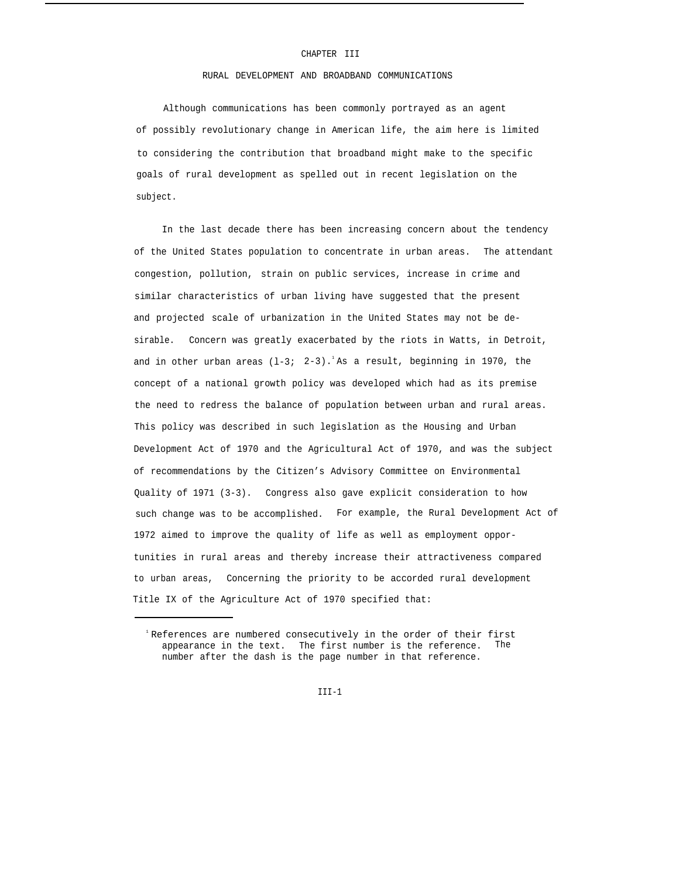## CHAPTER III

### RURAL DEVELOPMENT AND BROADBAND COMMUNICATIONS

Although communications has been commonly portrayed as an agent of possibly revolutionary change in American life, the aim here is limited to considering the contribution that broadband might make to the specific goals of rural development as spelled out in recent legislation on the subject.

In the last decade there has been increasing concern about the tendency of the United States population to concentrate in urban areas. The attendant congestion, pollution, strain on public services, increase in crime and similar characteristics of urban living have suggested that the present and projected scale of urbanization in the United States may not be desirable. Concern was greatly exacerbated by the riots in Watts, in Detroit, and in other urban areas  $(1-3; 2-3)$ .<sup>1</sup>As a result, beginning in 1970, the concept of a national growth policy was developed which had as its premise the need to redress the balance of population between urban and rural areas. This policy was described in such legislation as the Housing and Urban Development Act of 1970 and the Agricultural Act of 1970, and was the subject of recommendations by the Citizen's Advisory Committee on Environmental Quality of 1971 (3-3). Congress also gave explicit consideration to how such change was to be accomplished. For example, the Rural Development Act of 1972 aimed to improve the quality of life as well as employment opportunities in rural areas and thereby increase their attractiveness compared to urban areas, Concerning the priority to be accorded rural development Title IX of the Agriculture Act of 1970 specified that:

 $TTT-1$ 

<sup>&</sup>lt;sup>1</sup> References are numbered consecutively in the order of their first appearance in the text. The first number is the reference. The number after the dash is the page number in that reference.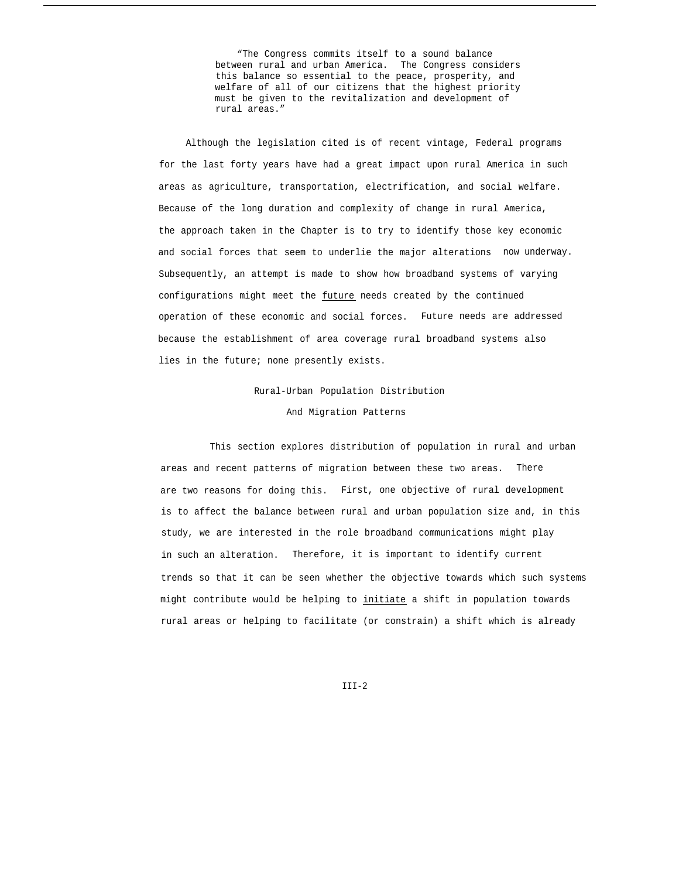"The Congress commits itself to a sound balance between rural and urban America. The Congress considers this balance so essential to the peace, prosperity, and welfare of all of our citizens that the highest priority must be given to the revitalization and development of rural areas."

Although the legislation cited is of recent vintage, Federal programs for the last forty years have had a great impact upon rural America in such areas as agriculture, transportation, electrification, and social welfare. Because of the long duration and complexity of change in rural America, the approach taken in the Chapter is to try to identify those key economic and social forces that seem to underlie the major alterations now underway. Subsequently, an attempt is made to show how broadband systems of varying configurations might meet the future needs created by the continued operation of these economic and social forces. Future needs are addressed because the establishment of area coverage rural broadband systems also lies in the future; none presently exists.

> Rural-Urban Population Distribution And Migration Patterns

This section explores distribution of population in rural and urban areas and recent patterns of migration between these two areas. There are two reasons for doing this. First, one objective of rural development is to affect the balance between rural and urban population size and, in this study, we are interested in the role broadband communications might play in such an alteration. Therefore, it is important to identify current trends so that it can be seen whether the objective towards which such systems might contribute would be helping to initiate a shift in population towards rural areas or helping to facilitate (or constrain) a shift which is already

 $TTT-2$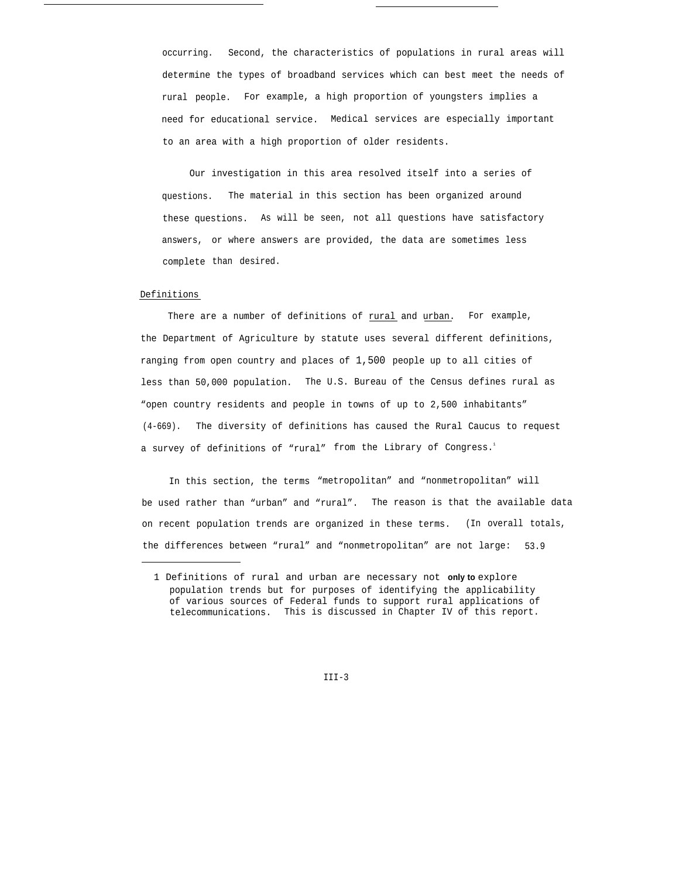occurring. Second, the characteristics of populations in rural areas will determine the types of broadband services which can best meet the needs of rural people. For example, a high proportion of youngsters implies a need for educational service. Medical services are especially important to an area with a high proportion of older residents.

Our investigation in this area resolved itself into a series of questions. The material in this section has been organized around these questions. As will be seen, not all questions have satisfactory answers, or where answers are provided, the data are sometimes less complete than desired.

#### Definitions

There are a number of definitions of rural and urban. For example, the Department of Agriculture by statute uses several different definitions, ranging from open country and places of 1,500 people up to all cities of less than 50,000 population. The U.S. Bureau of the Census defines rural as "open country residents and people in towns of up to 2,500 inhabitants" (4-669). The diversity of definitions has caused the Rural Caucus to request a survey of definitions of "rural" from the Library of Congress.<sup>1</sup>

In this section, the terms "metropolitan" and "nonmetropolitan" will be used rather than "urban" and "rural". The reason is that the available data on recent population trends are organized in these terms. (In overall totals, the differences between "rural" and "nonmetropolitan" are not large: 53.9

<sup>1</sup> Definitions of rural and urban are necessary not **only to** explore population trends but for purposes of identifying the applicability of various sources of Federal funds to support rural applications of telecommunications. This is discussed in Chapter IV of this report.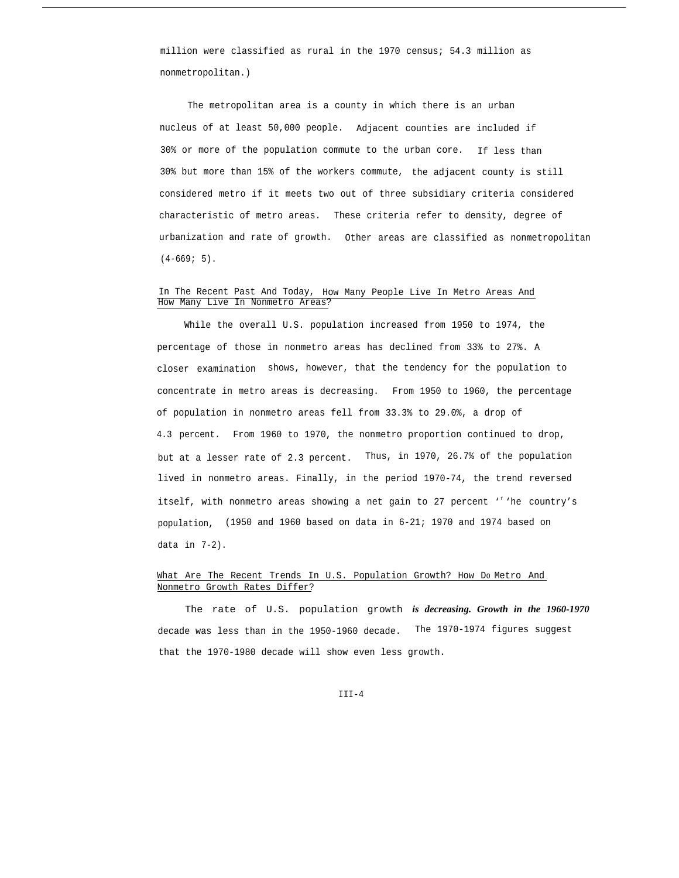million were classified as rural in the 1970 census; 54.3 million as nonmetropolitan.)

The metropolitan area is a county in which there is an urban nucleus of at least 50,000 people. Adjacent counties are included if 30% or more of the population commute to the urban core. If less than 30% but more than 15% of the workers commute, the adjacent county is still considered metro if it meets two out of three subsidiary criteria considered characteristic of metro areas. These criteria refer to density, degree of urbanization and rate of growth. Other areas are classified as nonmetropolitan  $(4-669; 5)$ .

## In The Recent Past And Today, How Many People Live In Metro Areas And How Many Live In Nonmetro Areas?

While the overall U.S. population increased from 1950 to 1974, the percentage of those in nonmetro areas has declined from 33% to 27%. A closer examination shows, however, that the tendency for the population to concentrate in metro areas is decreasing. From 1950 to 1960, the percentage of population in nonmetro areas fell from 33.3% to 29.0%, a drop of 4.3 percent. From 1960 to 1970, the nonmetro proportion continued to drop, but at a lesser rate of 2.3 percent. Thus, in 1970, 26.7% of the population lived in nonmetro areas. Finally, in the period 1970-74, the trend reversed itself, with nonmetro areas showing a net gain to 27 percent '<sup>f</sup>'he country's population, (1950 and 1960 based on data in 6-21; 1970 and 1974 based on data in 7-2).

## What Are The Recent Trends In U.S. Population Growth? How Do Metro And Nonmetro Growth Rates Differ?

The rate of U.S. population growth *is decreasing. Growth in the 1960-1970* decade was less than in the 1950-1960 decade. The 1970-1974 figures suggest that the 1970-1980 decade will show even less growth.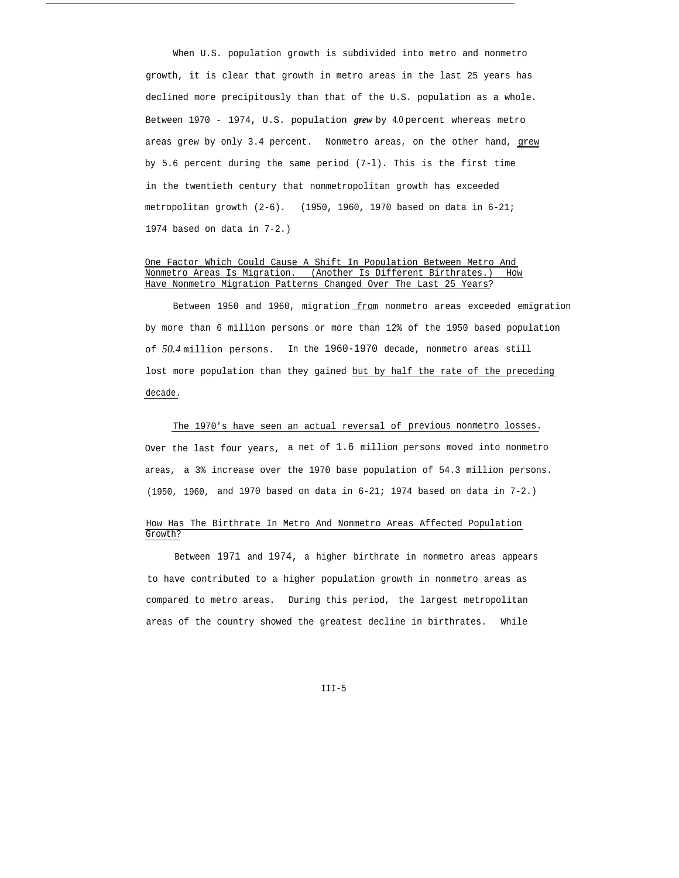When U.S. population growth is subdivided into metro and nonmetro growth, it is clear that growth in metro areas in the last 25 years has declined more precipitously than that of the U.S. population as a whole. Between 1970 - 1974, U.S. population *grew* by 4.0 percent whereas metro areas grew by only 3.4 percent. Nonmetro areas, on the other hand, grew by 5.6 percent during the same period (7-l). This is the first time in the twentieth century that nonmetropolitan growth has exceeded metropolitan growth (2-6). (1950, 1960, 1970 based on data in 6-21; 1974 based on data in 7-2.)

### One Factor Which Could Cause A Shift In Population Between Metro And Nonmetro Areas Is Migration. (Another Is Different Birthrates.) How Have Nonmetro Migration Patterns Changed Over The Last 25 Years?

Between 1950 and 1960, migration from nonmetro areas exceeded emigration by more than 6 million persons or more than 12% of the 1950 based population of *50.4* million persons. In the 1960-1970 decade, nonmetro areas still lost more population than they gained but by half the rate of the preceding decade.

The 1970's have seen an actual reversal of previous nonmetro losses. Over the last four years, a net of 1.6 million persons moved into nonmetro areas, a 3% increase over the 1970 base population of 54.3 million persons. (1950, 1960, and 1970 based on data in 6-21; 1974 based on data in 7-2.)

## How Has The Birthrate In Metro And Nonmetro Areas Affected Population Growth?

Between 1971 and 1974, a higher birthrate in nonmetro areas appears to have contributed to a higher population growth in nonmetro areas as compared to metro areas. During this period, the largest metropolitan areas of the country showed the greatest decline in birthrates. While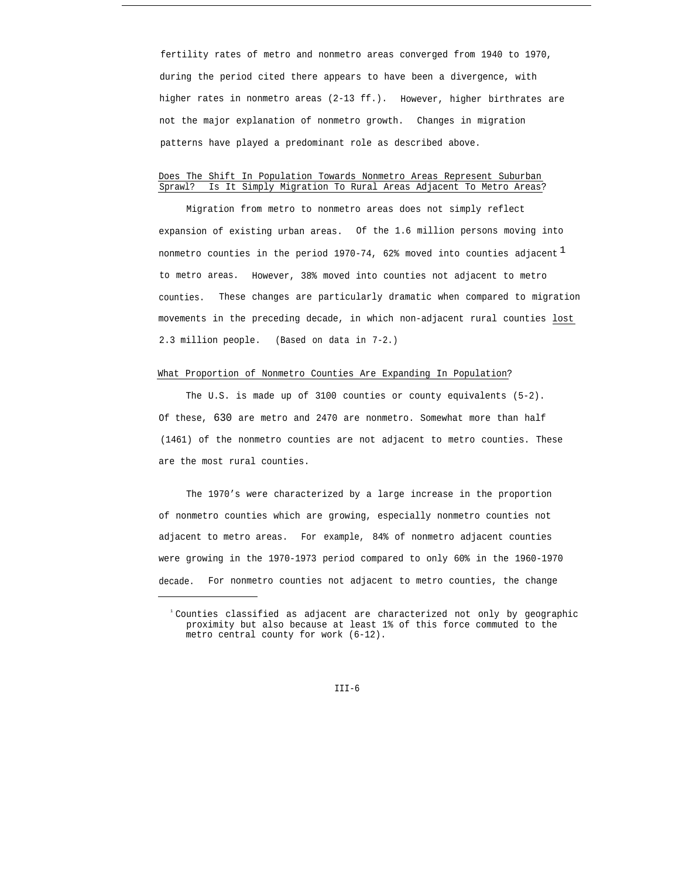fertility rates of metro and nonmetro areas converged from 1940 to 1970, during the period cited there appears to have been a divergence, with higher rates in nonmetro areas (2-13 ff.). However, higher birthrates are not the major explanation of nonmetro growth. Changes in migration patterns have played a predominant role as described above.

## Does The Shift In Population Towards Nonmetro Areas Represent Suburban Sprawl? Is It Simply Migration To Rural Areas Adjacent To Metro Areas?

Migration from metro to nonmetro areas does not simply reflect expansion of existing urban areas. Of the 1.6 million persons moving into nonmetro counties in the period 1970-74, 62% moved into counties adjacent  $<sup>L</sup>$ </sup> to metro areas. However, 38% moved into counties not adjacent to metro counties. These changes are particularly dramatic when compared to migration movements in the preceding decade, in which non-adjacent rural counties lost 2.3 million people. (Based on data in 7-2.)

#### What Proportion of Nonmetro Counties Are Expanding In Population?

The U.S. is made up of 3100 counties or county equivalents (5-2). Of these, 630 are metro and 2470 are nonmetro. Somewhat more than half (1461) of the nonmetro counties are not adjacent to metro counties. These are the most rural counties.

The 1970's were characterized by a large increase in the proportion of nonmetro counties which are growing, especially nonmetro counties not adjacent to metro areas. For example, 84% of nonmetro adjacent counties were growing in the 1970-1973 period compared to only 60% in the 1960-1970 decade. For nonmetro counties not adjacent to metro counties, the change

<sup>&</sup>lt;sup>1</sup> Counties classified as adjacent are characterized not only by geographic proximity but also because at least 1% of this force commuted to the metro central county for work (6-12).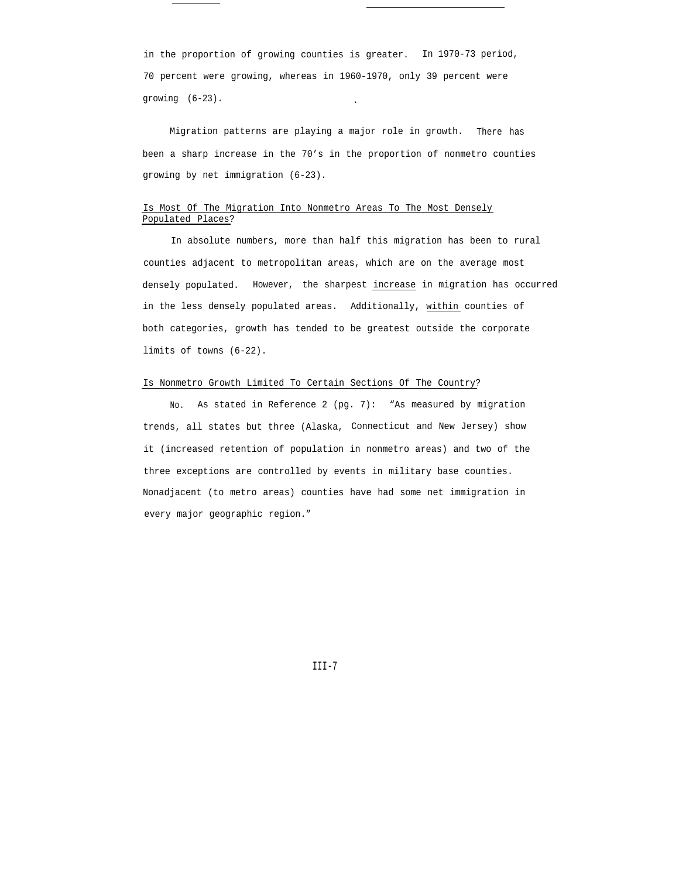in the proportion of growing counties is greater. In 1970-73 period, 70 percent were growing, whereas in 1960-1970, only 39 percent were growing (6-23). .

Migration patterns are playing a major role in growth. There has been a sharp increase in the 70's in the proportion of nonmetro counties growing by net immigration (6-23).

# Is Most Of The Migration Into Nonmetro Areas To The Most Densely Populated Places?

In absolute numbers, more than half this migration has been to rural counties adjacent to metropolitan areas, which are on the average most densely populated. However, the sharpest increase in migration has occurred in the less densely populated areas. Additionally, within counties of both categories, growth has tended to be greatest outside the corporate limits of towns (6-22).

### Is Nonmetro Growth Limited To Certain Sections Of The Country?

No. As stated in Reference 2 (pg. 7): "As measured by migration trends, all states but three (Alaska, Connecticut and New Jersey) show it (increased retention of population in nonmetro areas) and two of the three exceptions are controlled by events in military base counties. Nonadjacent (to metro areas) counties have had some net immigration in every major geographic region."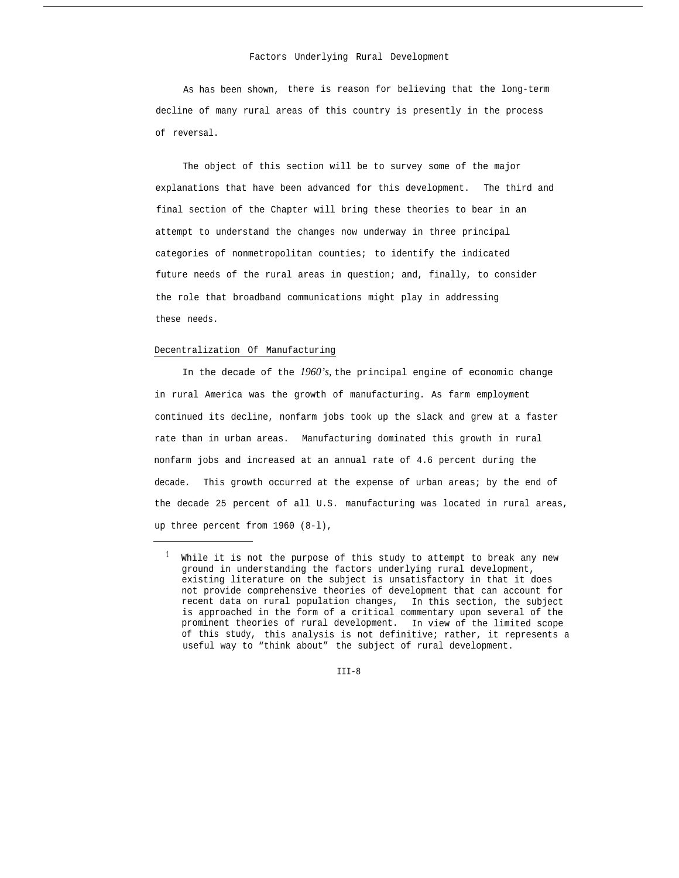#### Factors Underlying Rural Development

As has been shown, there is reason for believing that the long-term decline of many rural areas of this country is presently in the process of reversal.

The object of this section will be to survey some of the major explanations that have been advanced for this development. The third and final section of the Chapter will bring these theories to bear in an attempt to understand the changes now underway in three principal categories of nonmetropolitan counties; to identify the indicated future needs of the rural areas in question; and, finally, to consider the role that broadband communications might play in addressing these needs.

### Decentralization Of Manufacturing

In the decade of the *1960's,* the principal engine of economic change in rural America was the growth of manufacturing. As farm employment continued its decline, nonfarm jobs took up the slack and grew at a faster rate than in urban areas. Manufacturing dominated this growth in rural nonfarm jobs and increased at an annual rate of 4.6 percent during the decade. This growth occurred at the expense of urban areas; by the end of the decade 25 percent of all U.S. manufacturing was located in rural areas, up three percent from 1960 (8-l),

 $TTT - 8$ 

 $1$  While it is not the purpose of this study to attempt to break any new ground in understanding the factors underlying rural development, existing literature on the subject is unsatisfactory in that it does not provide comprehensive theories of development that can account for recent data on rural population changes, In this section, the subject is approached in the form of a critical commentary upon several of the prominent theories of rural development. In view of the limited scope of this study, this analysis is not definitive; rather, it represents a useful way to "think about" the subject of rural development.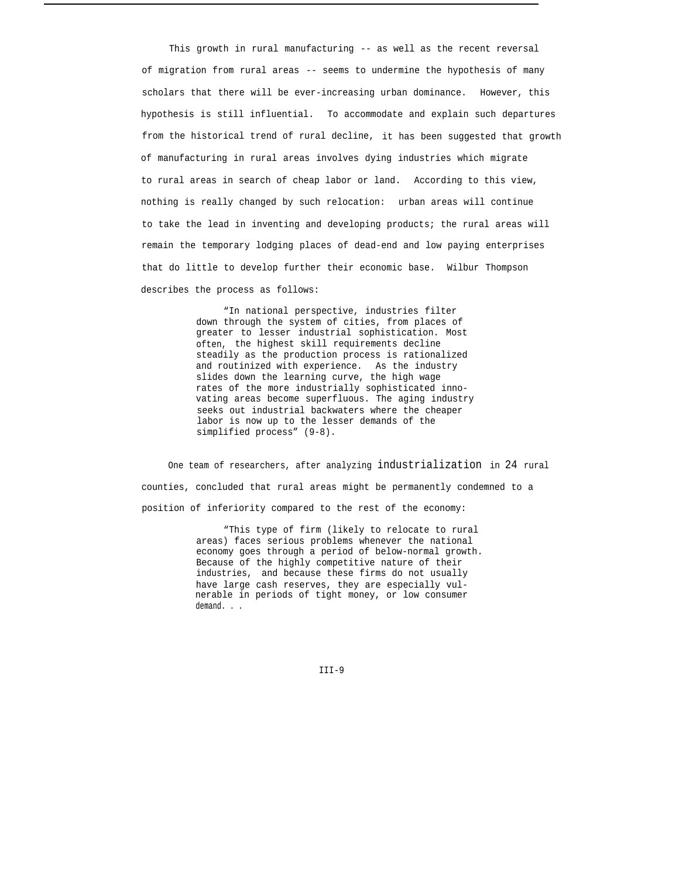This growth in rural manufacturing -- as well as the recent reversal of migration from rural areas -- seems to undermine the hypothesis of many scholars that there will be ever-increasing urban dominance. However, this hypothesis is still influential. To accommodate and explain such departures from the historical trend of rural decline, it has been suggested that growth of manufacturing in rural areas involves dying industries which migrate to rural areas in search of cheap labor or land. According to this view, nothing is really changed by such relocation: urban areas will continue to take the lead in inventing and developing products; the rural areas will remain the temporary lodging places of dead-end and low paying enterprises that do little to develop further their economic base. Wilbur Thompson describes the process as follows:

> "In national perspective, industries filter down through the system of cities, from places of greater to lesser industrial sophistication. Most often, the highest skill requirements decline steadily as the production process is rationalized and routinized with experience. As the industry slides down the learning curve, the high wage rates of the more industrially sophisticated innovating areas become superfluous. The aging industry seeks out industrial backwaters where the cheaper labor is now up to the lesser demands of the simplified process" (9-8).

One team of researchers, after analyzing industrialization in 24 rural counties, concluded that rural areas might be permanently condemned to a position of inferiority compared to the rest of the economy:

> "This type of firm (likely to relocate to rural areas) faces serious problems whenever the national economy goes through a period of below-normal growth. Because of the highly competitive nature of their industries, and because these firms do not usually have large cash reserves, they are especially vulnerable in periods of tight money, or low consumer demand. . .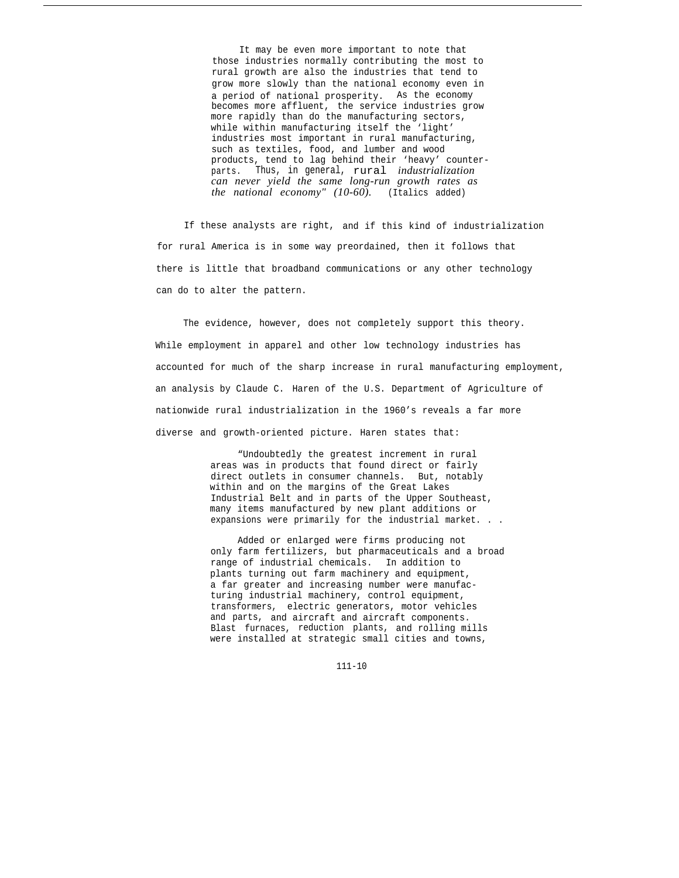It may be even more important to note that those industries normally contributing the most to rural growth are also the industries that tend to grow more slowly than the national economy even in a period of national prosperity. As the economy becomes more affluent, the service industries grow more rapidly than do the manufacturing sectors, while within manufacturing itself the 'light' industries most important in rural manufacturing, such as textiles, food, and lumber and wood products, tend to lag behind their 'heavy' counterparts. Thus, in general, rural *industrialization can never yield the same long-run growth rates as the national economy" (10-60).* (Italics added)

If these analysts are right, and if this kind of industrialization for rural America is in some way preordained, then it follows that there is little that broadband communications or any other technology can do to alter the pattern.

The evidence, however, does not completely support this theory. While employment in apparel and other low technology industries has accounted for much of the sharp increase in rural manufacturing employment, an analysis by Claude C. Haren of the U.S. Department of Agriculture of nationwide rural industrialization in the 1960's reveals a far more diverse and growth-oriented picture. Haren states that:

> "Undoubtedly the greatest increment in rural areas was in products that found direct or fairly direct outlets in consumer channels. But, notably within and on the margins of the Great Lakes Industrial Belt and in parts of the Upper Southeast, many items manufactured by new plant additions or expansions were primarily for the industrial market. . .

> Added or enlarged were firms producing not only farm fertilizers, but pharmaceuticals and a broad range of industrial chemicals. In addition to plants turning out farm machinery and equipment, a far greater and increasing number were manufacturing industrial machinery, control equipment, transformers, electric generators, motor vehicles and parts, and aircraft and aircraft components. Blast furnaces, reduction plants, and rolling mills were installed at strategic small cities and towns,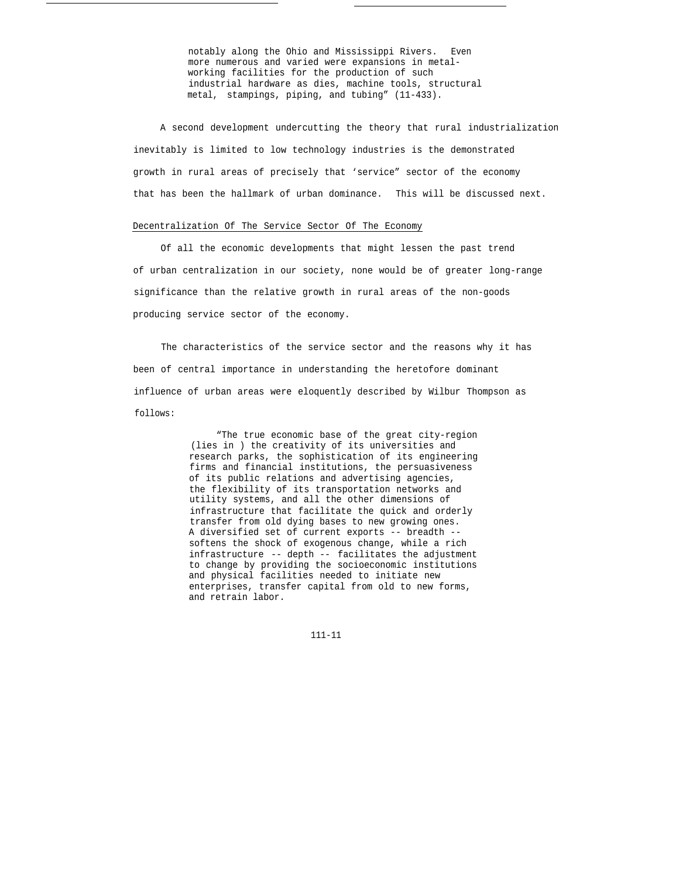notably along the Ohio and Mississippi Rivers. Even more numerous and varied were expansions in metalworking facilities for the production of such industrial hardware as dies, machine tools, structural metal, stampings, piping, and tubing" (11-433).

A second development undercutting the theory that rural industrialization inevitably is limited to low technology industries is the demonstrated growth in rural areas of precisely that 'service" sector of the economy that has been the hallmark of urban dominance. This will be discussed next.

#### Decentralization Of The Service Sector Of The Economy

Of all the economic developments that might lessen the past trend of urban centralization in our society, none would be of greater long-range significance than the relative growth in rural areas of the non-goods producing service sector of the economy.

The characteristics of the service sector and the reasons why it has been of central importance in understanding the heretofore dominant influence of urban areas were eloquently described by Wilbur Thompson as follows:

> "The true economic base of the great city-region (lies in ) the creativity of its universities and research parks, the sophistication of its engineering firms and financial institutions, the persuasiveness of its public relations and advertising agencies, the flexibility of its transportation networks and utility systems, and all the other dimensions of infrastructure that facilitate the quick and orderly transfer from old dying bases to new growing ones. A diversified set of current exports -- breadth - softens the shock of exogenous change, while a rich infrastructure -- depth -- facilitates the adjustment to change by providing the socioeconomic institutions and physical facilities needed to initiate new enterprises, transfer capital from old to new forms, and retrain labor.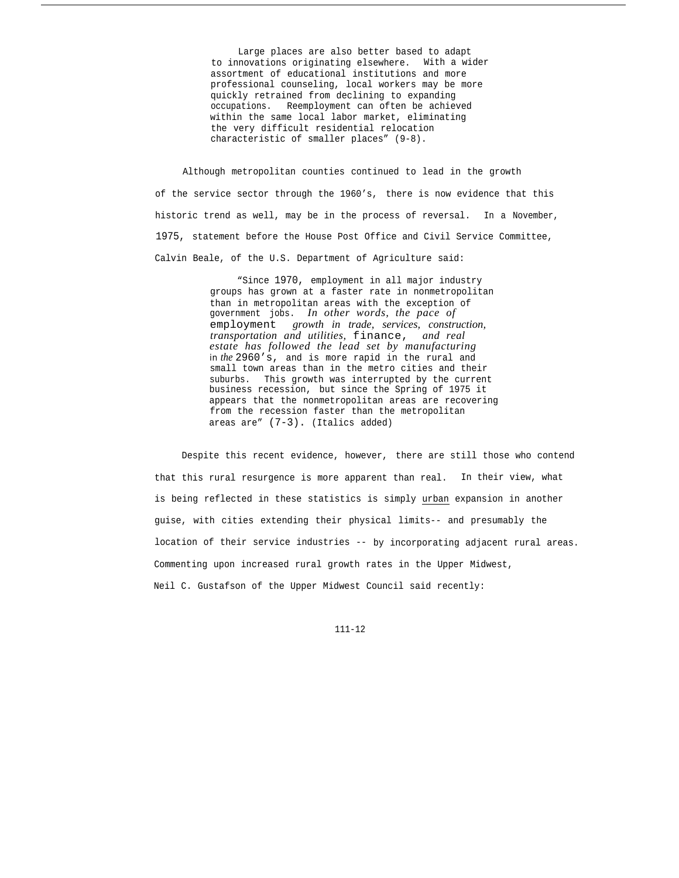Large places are also better based to adapt to innovations originating elsewhere. With a wider assortment of educational institutions and more professional counseling, local workers may be more quickly retrained from declining to expanding occupations. Reemployment can often be achieved within the same local labor market, eliminating the very difficult residential relocation characteristic of smaller places" (9-8).

Although metropolitan counties continued to lead in the growth of the service sector through the 1960's, there is now evidence that this historic trend as well, may be in the process of reversal. In a November, 1975, statement before the House Post Office and Civil Service Committee, Calvin Beale, of the U.S. Department of Agriculture said:

> "Since 1970, employment in all major industry groups has grown at a faster rate in nonmetropolitan than in metropolitan areas with the exception of government jobs. *In other words, the pace of* employment *growth in trade, services, construction, transportation and utilities,* finance, *and real estate has followed the lead set by manufacturing* in *the* 2960's, and is more rapid in the rural and small town areas than in the metro cities and their suburbs. This growth was interrupted by the current business recession, but since the Spring of 1975 it appears that the nonmetropolitan areas are recovering from the recession faster than the metropolitan areas are" (7-3). (Italics added)

Despite this recent evidence, however, there are still those who contend that this rural resurgence is more apparent than real. In their view, what is being reflected in these statistics is simply urban expansion in another guise, with cities extending their physical limits-- and presumably the location of their service industries -- by incorporating adjacent rural areas. Commenting upon increased rural growth rates in the Upper Midwest, Neil C. Gustafson of the Upper Midwest Council said recently: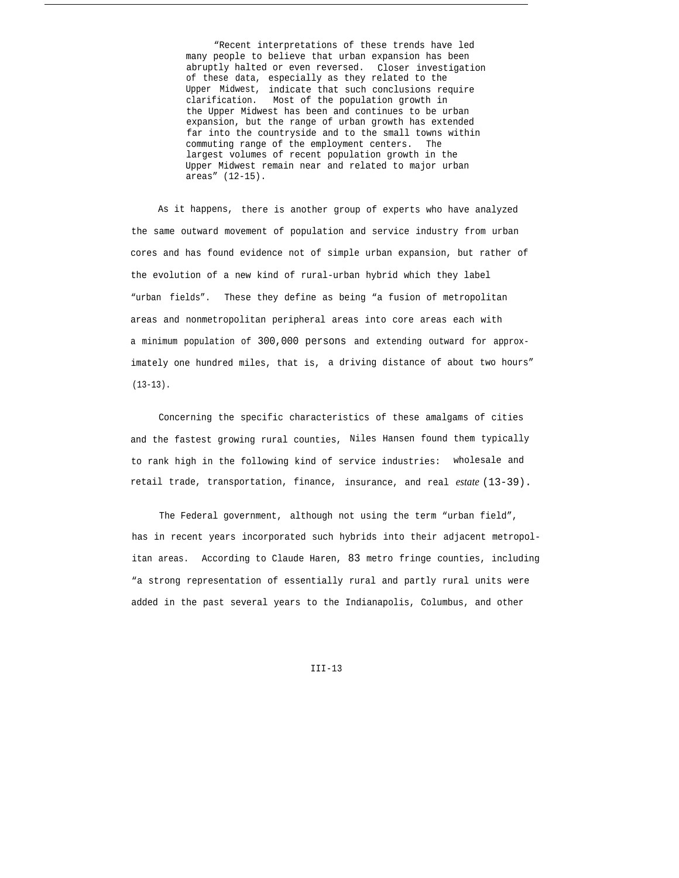"Recent interpretations of these trends have led many people to believe that urban expansion has been abruptly halted or even reversed. Closer investigation of these data, especially as they related to the Upper Midwest, indicate that such conclusions require clarification. Most of the population growth in the Upper Midwest has been and continues to be urban expansion, but the range of urban growth has extended far into the countryside and to the small towns within commuting range of the employment centers. The largest volumes of recent population growth in the Upper Midwest remain near and related to major urban areas" (12-15).

As it happens, there is another group of experts who have analyzed the same outward movement of population and service industry from urban cores and has found evidence not of simple urban expansion, but rather of the evolution of a new kind of rural-urban hybrid which they label "urban fields". These they define as being "a fusion of metropolitan areas and nonmetropolitan peripheral areas into core areas each with a minimum population of 300,000 persons and extending outward for approximately one hundred miles, that is, a driving distance of about two hours"  $(13-13)$ .

Concerning the specific characteristics of these amalgams of cities and the fastest growing rural counties, Niles Hansen found them typically to rank high in the following kind of service industries: wholesale and retail trade, transportation, finance, insurance, and real *estate* (13-39).

The Federal government, although not using the term "urban field", has in recent years incorporated such hybrids into their adjacent metropolitan areas. According to Claude Haren, 83 metro fringe counties, including "a strong representation of essentially rural and partly rural units were added in the past several years to the Indianapolis, Columbus, and other

 $TTT-13$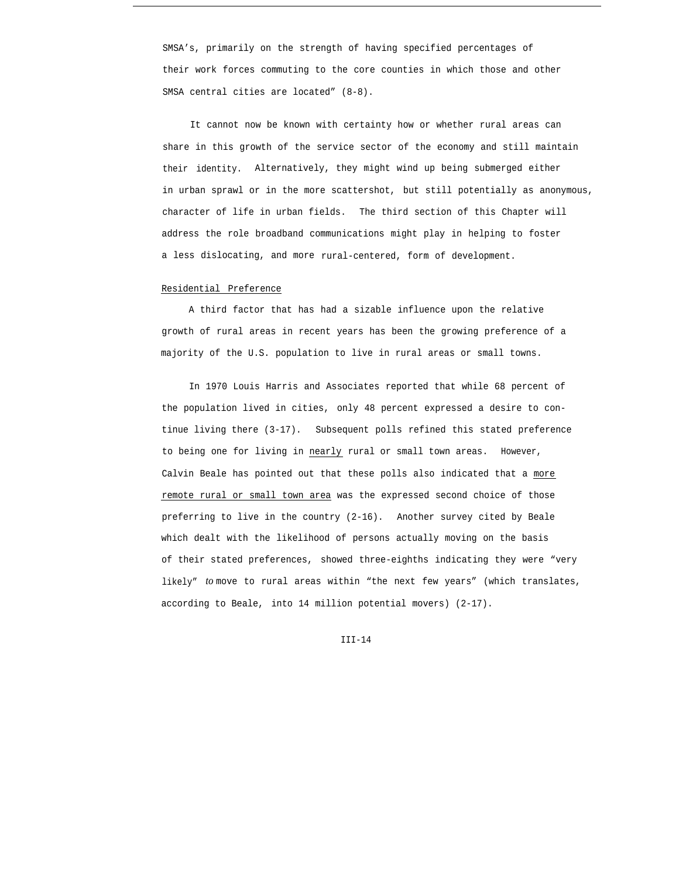SMSA's, primarily on the strength of having specified percentages of their work forces commuting to the core counties in which those and other SMSA central cities are located" (8-8).

It cannot now be known with certainty how or whether rural areas can share in this growth of the service sector of the economy and still maintain their identity. Alternatively, they might wind up being submerged either in urban sprawl or in the more scattershot, but still potentially as anonymous, character of life in urban fields. The third section of this Chapter will address the role broadband communications might play in helping to foster a less dislocating, and more rural-centered, form of development.

## Residential Preference

A third factor that has had a sizable influence upon the relative growth of rural areas in recent years has been the growing preference of a majority of the U.S. population to live in rural areas or small towns.

In 1970 Louis Harris and Associates reported that while 68 percent of the population lived in cities, only 48 percent expressed a desire to continue living there (3-17). Subsequent polls refined this stated preference to being one for living in nearly rural or small town areas. However, Calvin Beale has pointed out that these polls also indicated that a more remote rural or small town area was the expressed second choice of those preferring to live in the country (2-16). Another survey cited by Beale which dealt with the likelihood of persons actually moving on the basis of their stated preferences, showed three-eighths indicating they were "very likely" *to* move to rural areas within "the next few years" (which translates, according to Beale, into 14 million potential movers) (2-17).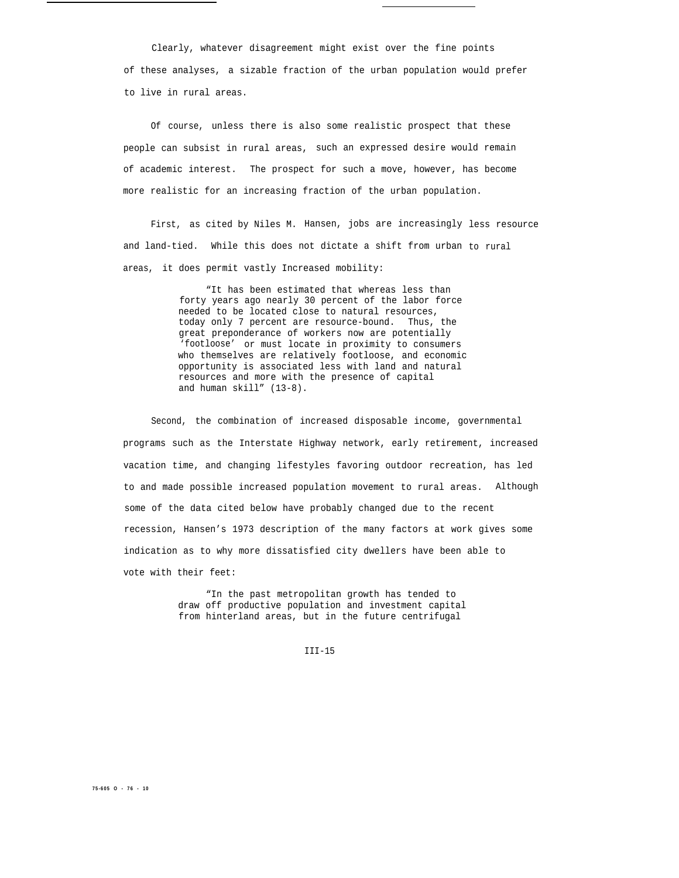Clearly, whatever disagreement might exist over the fine points of these analyses, a sizable fraction of the urban population would prefer to live in rural areas.

Of course, unless there is also some realistic prospect that these people can subsist in rural areas, such an expressed desire would remain of academic interest. The prospect for such a move, however, has become more realistic for an increasing fraction of the urban population.

First, as cited by Niles M. Hansen, jobs are increasingly less resource and land-tied. While this does not dictate a shift from urban to rural areas, it does permit vastly Increased mobility:

> "It has been estimated that whereas less than forty years ago nearly 30 percent of the labor force needed to be located close to natural resources, today only 7 percent are resource-bound. Thus, the great preponderance of workers now are potentially 'footloose' or must locate in proximity to consumers who themselves are relatively footloose, and economic opportunity is associated less with land and natural resources and more with the presence of capital and human skill" (13-8).

Second, the combination of increased disposable income, governmental programs such as the Interstate Highway network, early retirement, increased vacation time, and changing lifestyles favoring outdoor recreation, has led to and made possible increased population movement to rural areas. Although some of the data cited below have probably changed due to the recent recession, Hansen's 1973 description of the many factors at work gives some indication as to why more dissatisfied city dwellers have been able to vote with their feet:

> "In the past metropolitan growth has tended to draw off productive population and investment capital from hinterland areas, but in the future centrifugal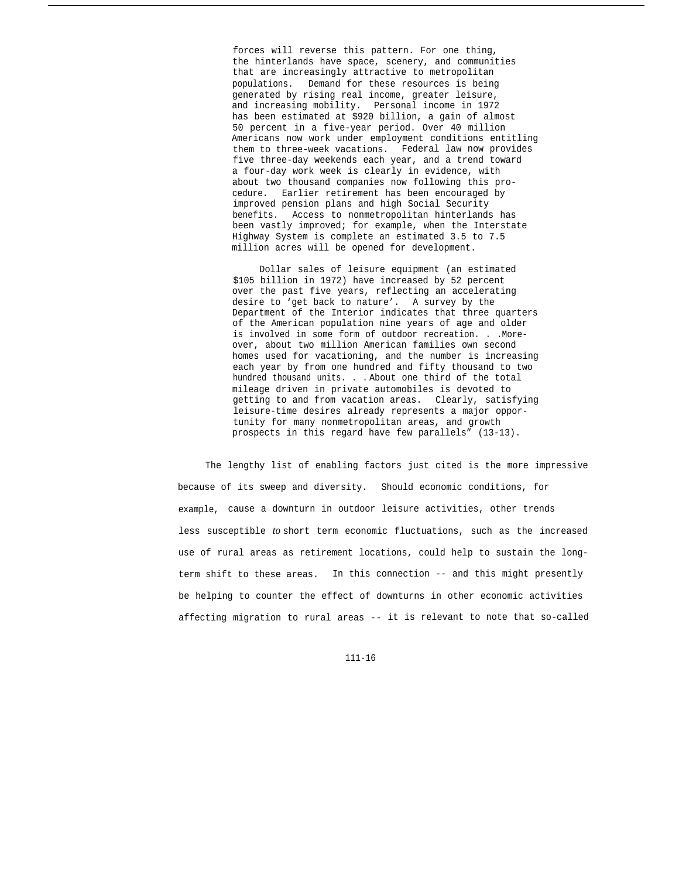forces will reverse this pattern. For one thing, the hinterlands have space, scenery, and communities that are increasingly attractive to metropolitan populations. Demand for these resources is being generated by rising real income, greater leisure, and increasing mobility. Personal income in 1972 has been estimated at \$920 billion, a gain of almost 50 percent in a five-year period. Over 40 million Americans now work under employment conditions entitling them to three-week vacations. Federal law now provides five three-day weekends each year, and a trend toward a four-day work week is clearly in evidence, with about two thousand companies now following this procedure. Earlier retirement has been encouraged by improved pension plans and high Social Security benefits. Access to nonmetropolitan hinterlands has been vastly improved; for example, when the Interstate Highway System is complete an estimated 3.5 to 7.5 million acres will be opened for development.

Dollar sales of leisure equipment (an estimated \$105 billion in 1972) have increased by 52 percent over the past five years, reflecting an accelerating desire to 'get back to nature'. A survey by the Department of the Interior indicates that three quarters of the American population nine years of age and older is involved in some form of outdoor recreation. . .Moreover, about two million American families own second homes used for vacationing, and the number is increasing each year by from one hundred and fifty thousand to two hundred thousand units. . . About one third of the total mileage driven in private automobiles is devoted to getting to and from vacation areas. Clearly, satisfying leisure-time desires already represents a major opportunity for many nonmetropolitan areas, and growth prospects in this regard have few parallels" (13-13).

The lengthy list of enabling factors just cited is the more impressive because of its sweep and diversity. Should economic conditions, for example, cause a downturn in outdoor leisure activities, other trends less susceptible *to* short term economic fluctuations, such as the increased use of rural areas as retirement locations, could help to sustain the longterm shift to these areas. In this connection -- and this might presently be helping to counter the effect of downturns in other economic activities affecting migration to rural areas -- it is relevant to note that so-called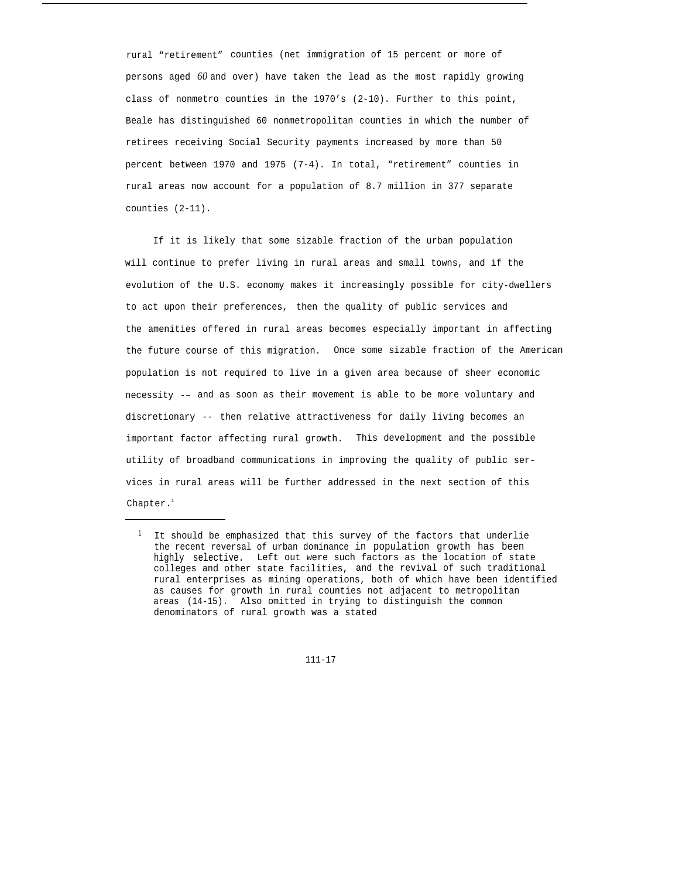rural "retirement" counties (net immigration of 15 percent or more of persons aged *60* and over) have taken the lead as the most rapidly growing class of nonmetro counties in the 1970's (2-10). Further to this point, Beale has distinguished 60 nonmetropolitan counties in which the number of retirees receiving Social Security payments increased by more than 50 percent between 1970 and 1975 (7-4). In total, "retirement" counties in rural areas now account for a population of 8.7 million in 377 separate counties (2-11).

If it is likely that some sizable fraction of the urban population will continue to prefer living in rural areas and small towns, and if the evolution of the U.S. economy makes it increasingly possible for city-dwellers to act upon their preferences, then the quality of public services and the amenities offered in rural areas becomes especially important in affecting the future course of this migration. Once some sizable fraction of the American population is not required to live in a given area because of sheer economic necessity -– and as soon as their movement is able to be more voluntary and discretionary -- then relative attractiveness for daily living becomes an important factor affecting rural growth. This development and the possible utility of broadband communications in improving the quality of public services in rural areas will be further addressed in the next section of this Chapter.<sup>1</sup>

<sup>&</sup>lt;sup>1</sup> It should be emphasized that this survey of the factors that underlie the recent reversal of urban dominance in population growth has been highly selective. Left out were such factors as the location of state colleges and other state facilities, and the revival of such traditional rural enterprises as mining operations, both of which have been identified as causes for growth in rural counties not adjacent to metropolitan areas (14-15). Also omitted in trying to distinguish the common denominators of rural growth was a stated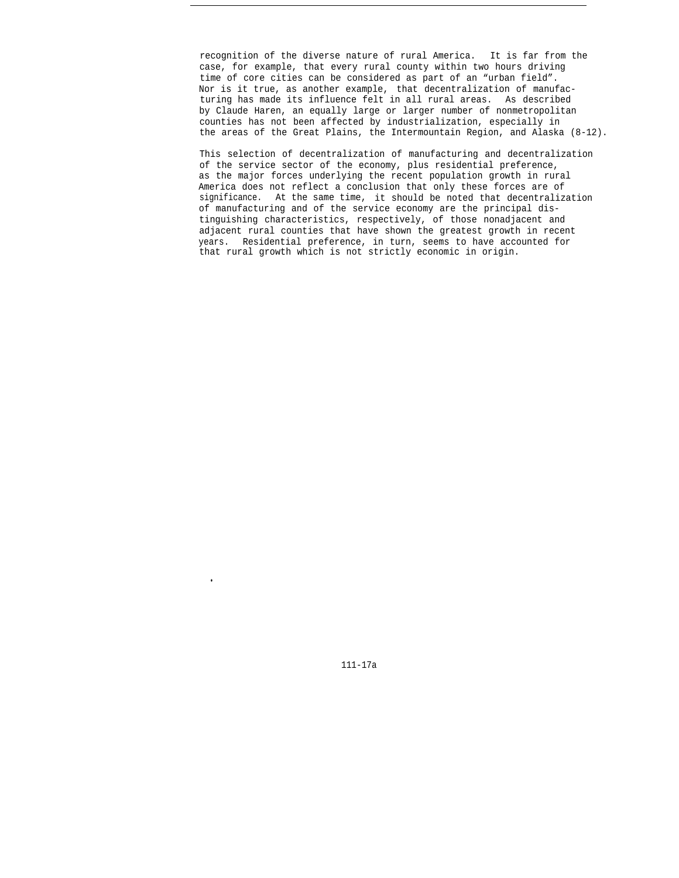recognition of the diverse nature of rural America. It is far from the case, for example, that every rural county within two hours driving time of core cities can be considered as part of an "urban field". Nor is it true, as another example, that decentralization of manufacturing has made its influence felt in all rural areas. As described by Claude Haren, an equally large or larger number of nonmetropolitan counties has not been affected by industrialization, especially in the areas of the Great Plains, the Intermountain Region, and Alaska  $(8-12)$ .

This selection of decentralization of manufacturing and decentralization of the service sector of the economy, plus residential preference, as the major forces underlying the recent population growth in rural America does not reflect a conclusion that only these forces are of significance. At the same time, it should be noted that decentralization of manufacturing and of the service economy are the principal distinguishing characteristics, respectively, of those nonadjacent and adjacent rural counties that have shown the greatest growth in recent years. Residential preference, in turn, seems to have accounted for that rural growth which is not strictly economic in origin.

111-17a

●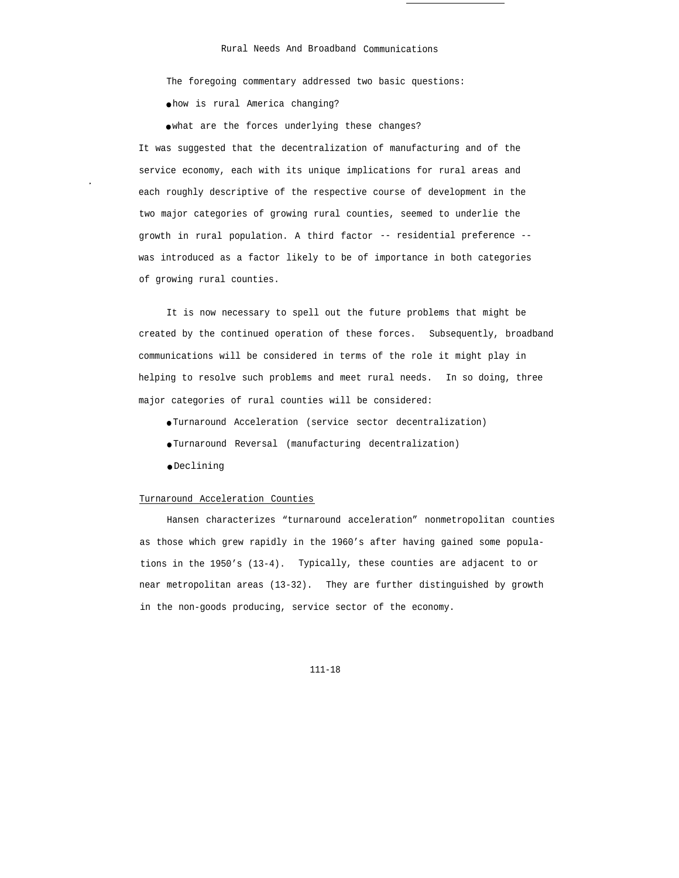The foregoing commentary addressed two basic questions:

● how is rural America changing?

● what are the forces underlying these changes?

It was suggested that the decentralization of manufacturing and of the service economy, each with its unique implications for rural areas and each roughly descriptive of the respective course of development in the two major categories of growing rural counties, seemed to underlie the growth in rural population. A third factor -- residential preference - was introduced as a factor likely to be of importance in both categories of growing rural counties.

It is now necessary to spell out the future problems that might be created by the continued operation of these forces. Subsequently, broadband communications will be considered in terms of the role it might play in helping to resolve such problems and meet rural needs. In so doing, three major categories of rural counties will be considered:

● Turnaround Acceleration (service sector decentralization)

● Turnaround Reversal (manufacturing decentralization)

● Declining

## Turnaround Acceleration Counties

Hansen characterizes "turnaround acceleration" nonmetropolitan counties as those which grew rapidly in the 1960's after having gained some populations in the 1950's (13-4). Typically, these counties are adjacent to or near metropolitan areas (13-32). They are further distinguished by growth in the non-goods producing, service sector of the economy.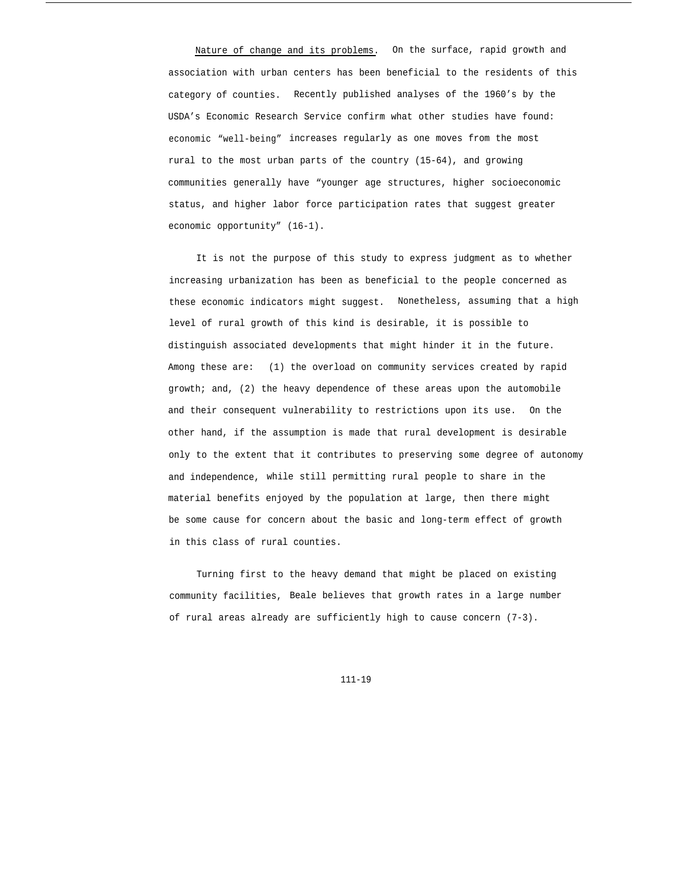Nature of change and its problems. On the surface, rapid growth and association with urban centers has been beneficial to the residents of this category of counties. Recently published analyses of the 1960's by the USDA's Economic Research Service confirm what other studies have found: economic "well-being" increases regularly as one moves from the most rural to the most urban parts of the country (15-64), and growing communities generally have "younger age structures, higher socioeconomic status, and higher labor force participation rates that suggest greater economic opportunity" (16-1).

It is not the purpose of this study to express judgment as to whether increasing urbanization has been as beneficial to the people concerned as these economic indicators might suggest. Nonetheless, assuming that a high level of rural growth of this kind is desirable, it is possible to distinguish associated developments that might hinder it in the future. Among these are: (1) the overload on community services created by rapid growth; and, (2) the heavy dependence of these areas upon the automobile and their consequent vulnerability to restrictions upon its use. On the other hand, if the assumption is made that rural development is desirable only to the extent that it contributes to preserving some degree of autonomy and independence, while still permitting rural people to share in the material benefits enjoyed by the population at large, then there might be some cause for concern about the basic and long-term effect of growth in this class of rural counties.

Turning first to the heavy demand that might be placed on existing community facilities, Beale believes that growth rates in a large number of rural areas already are sufficiently high to cause concern (7-3).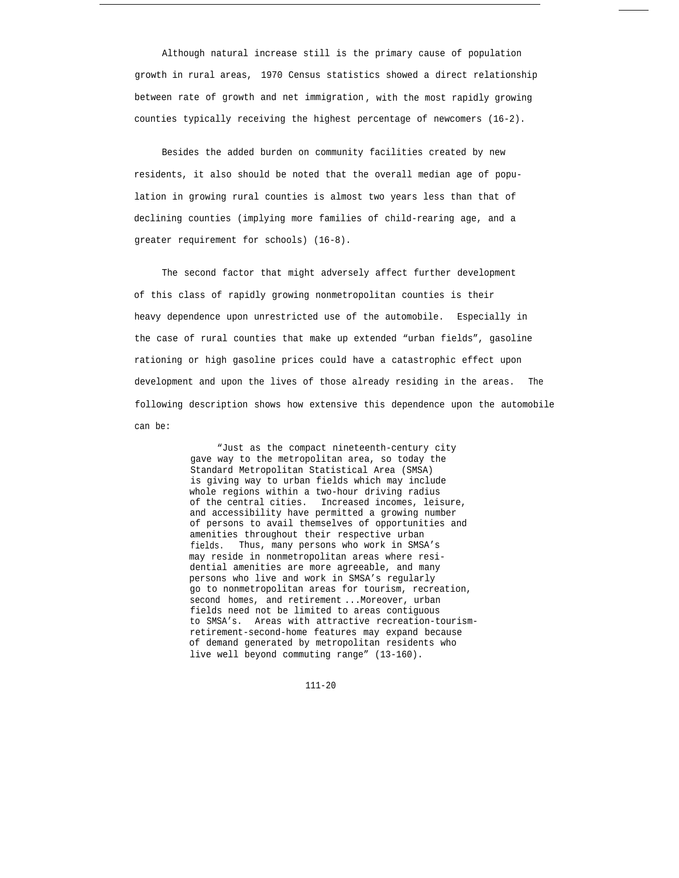Although natural increase still is the primary cause of population growth in rural areas, 1970 Census statistics showed a direct relationship between rate of growth and net immigration , with the most rapidly growing counties typically receiving the highest percentage of newcomers (16-2).

Besides the added burden on community facilities created by new residents, it also should be noted that the overall median age of population in growing rural counties is almost two years less than that of declining counties (implying more families of child-rearing age, and a greater requirement for schools) (16-8).

The second factor that might adversely affect further development of this class of rapidly growing nonmetropolitan counties is their heavy dependence upon unrestricted use of the automobile. Especially in the case of rural counties that make up extended "urban fields", gasoline rationing or high gasoline prices could have a catastrophic effect upon development and upon the lives of those already residing in the areas. The following description shows how extensive this dependence upon the automobile can be:

> "Just as the compact nineteenth-century city gave way to the metropolitan area, so today the Standard Metropolitan Statistical Area (SMSA) is giving way to urban fields which may include whole regions within a two-hour driving radius of the central cities. Increased incomes, leisure, and accessibility have permitted a growing number of persons to avail themselves of opportunities and amenities throughout their respective urban fields. Thus, many persons who work in SMSA's may reside in nonmetropolitan areas where residential amenities are more agreeable, and many persons who live and work in SMSA's regularly go to nonmetropolitan areas for tourism, recreation, second homes, and retirement ...Moreover, urban fields need not be limited to areas contiguous to SMSA's. Areas with attractive recreation-tourismretirement-second-home features may expand because of demand generated by metropolitan residents who live well beyond commuting range" (13-160).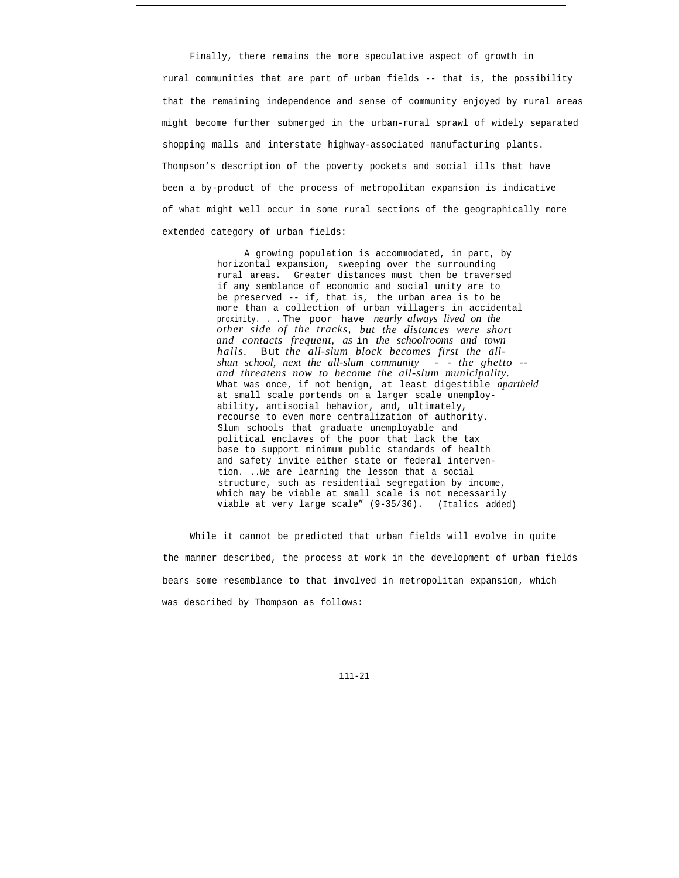Finally, there remains the more speculative aspect of growth in rural communities that are part of urban fields -- that is, the possibility that the remaining independence and sense of community enjoyed by rural areas might become further submerged in the urban-rural sprawl of widely separated shopping malls and interstate highway-associated manufacturing plants. Thompson's description of the poverty pockets and social ills that have been a by-product of the process of metropolitan expansion is indicative of what might well occur in some rural sections of the geographically more extended category of urban fields:

> A growing population is accommodated, in part, by horizontal expansion, sweeping over the surrounding rural areas. Greater distances must then be traversed if any semblance of economic and social unity are to be preserved -- if, that is, the urban area is to be more than a collection of urban villagers in accidental proximity. . . The poor have *nearly always lived on the other side of the tracks, but the distances were short and contacts frequent, as* in *the schoolrooms and town halls. But the all-slum block becomes first the allshun school, next the all-slum community - - the ghetto - and threatens now to become the all-slum municipality.* What was once, if not benign, at least digestible *apartheid* at small scale portends on a larger scale unemployability, antisocial behavior, and, ultimately, recourse to even more centralization of authority. Slum schools that graduate unemployable and political enclaves of the poor that lack the tax base to support minimum public standards of health and safety invite either state or federal intervention. ..We are learning the lesson that a social structure, such as residential segregation by income, which may be viable at small scale is not necessarily viable at very large scale" (9-35/36). (Italics added)

While it cannot be predicted that urban fields will evolve in quite the manner described, the process at work in the development of urban fields bears some resemblance to that involved in metropolitan expansion, which was described by Thompson as follows: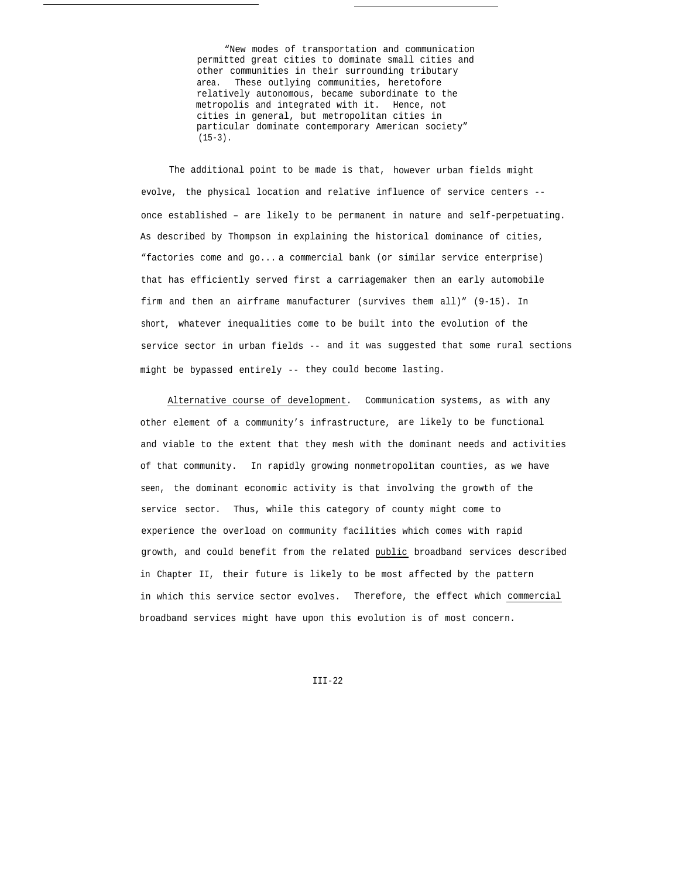"New modes of transportation and communication permitted great cities to dominate small cities and other communities in their surrounding tributary area. These outlying communities, heretofore relatively autonomous, became subordinate to the metropolis and integrated with it. Hence, not cities in general, but metropolitan cities in particular dominate contemporary American society"  $(15-3)$ .

The additional point to be made is that, however urban fields might evolve, the physical location and relative influence of service centers - once established – are likely to be permanent in nature and self-perpetuating. As described by Thompson in explaining the historical dominance of cities, "factories come and go... a commercial bank (or similar service enterprise) that has efficiently served first a carriagemaker then an early automobile firm and then an airframe manufacturer (survives them all)" (9-15). In short, whatever inequalities come to be built into the evolution of the service sector in urban fields -- and it was suggested that some rural sections might be bypassed entirely -- they could become lasting.

Alternative course of development. Communication systems, as with any other element of a community's infrastructure, are likely to be functional and viable to the extent that they mesh with the dominant needs and activities of that community. In rapidly growing nonmetropolitan counties, as we have seen, the dominant economic activity is that involving the growth of the service sector. Thus, while this category of county might come to experience the overload on community facilities which comes with rapid growth, and could benefit from the related public broadband services described in Chapter II, their future is likely to be most affected by the pattern in which this service sector evolves. Therefore, the effect which commercial broadband services might have upon this evolution is of most concern.

 $TTT-22$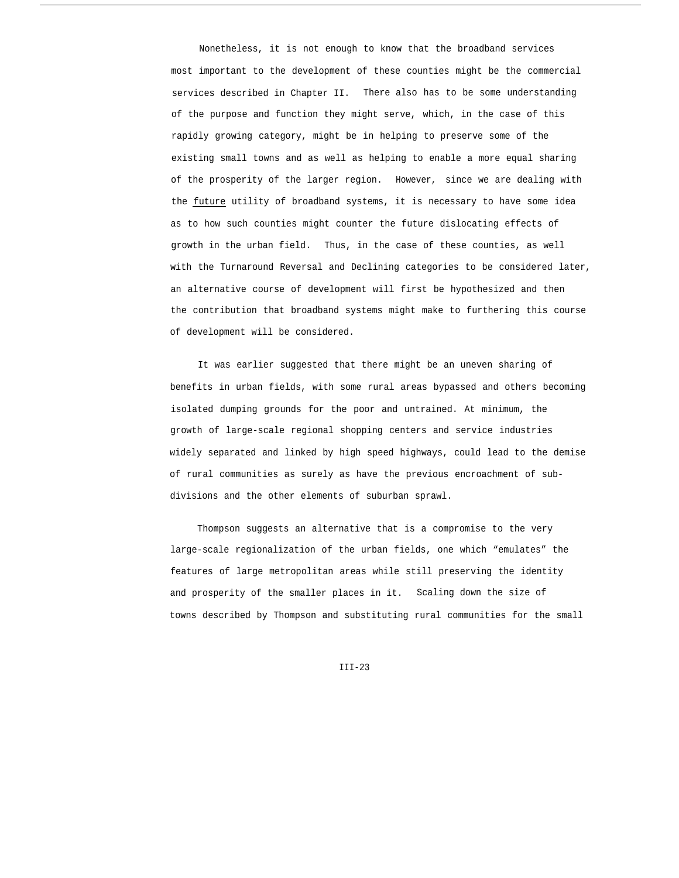Nonetheless, it is not enough to know that the broadband services most important to the development of these counties might be the commercial services described in Chapter II. There also has to be some understanding of the purpose and function they might serve, which, in the case of this rapidly growing category, might be in helping to preserve some of the existing small towns and as well as helping to enable a more equal sharing of the prosperity of the larger region. However, since we are dealing with the future utility of broadband systems, it is necessary to have some idea as to how such counties might counter the future dislocating effects of growth in the urban field. Thus, in the case of these counties, as well with the Turnaround Reversal and Declining categories to be considered later, an alternative course of development will first be hypothesized and then the contribution that broadband systems might make to furthering this course of development will be considered.

It was earlier suggested that there might be an uneven sharing of benefits in urban fields, with some rural areas bypassed and others becoming isolated dumping grounds for the poor and untrained. At minimum, the growth of large-scale regional shopping centers and service industries widely separated and linked by high speed highways, could lead to the demise of rural communities as surely as have the previous encroachment of subdivisions and the other elements of suburban sprawl.

Thompson suggests an alternative that is a compromise to the very large-scale regionalization of the urban fields, one which "emulates" the features of large metropolitan areas while still preserving the identity and prosperity of the smaller places in it. Scaling down the size of towns described by Thompson and substituting rural communities for the small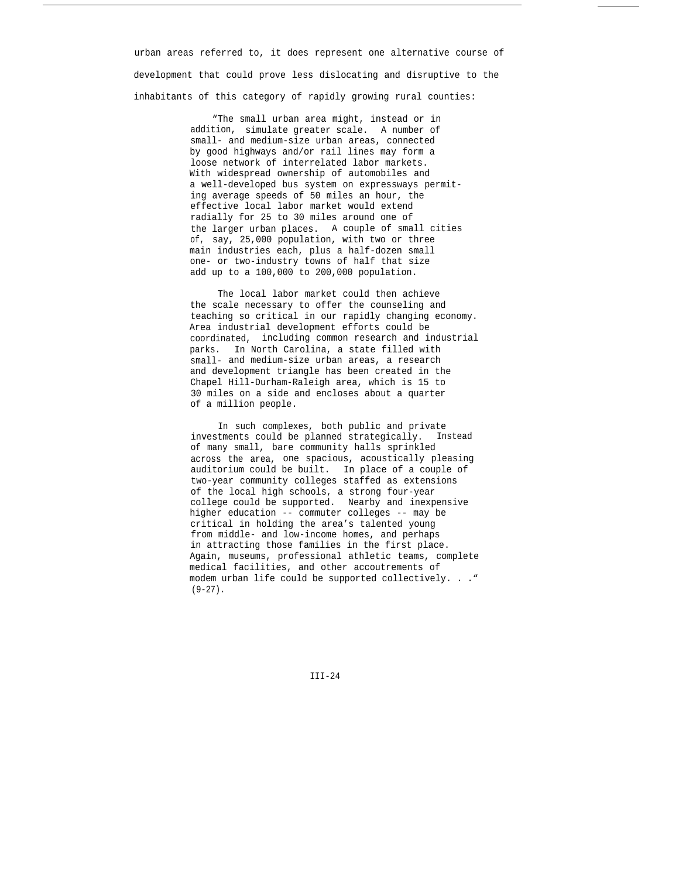urban areas referred to, it does represent one alternative course of development that could prove less dislocating and disruptive to the inhabitants of this category of rapidly growing rural counties:

> "The small urban area might, instead or in addition, simulate greater scale. A number of small- and medium-size urban areas, connected by good highways and/or rail lines may form a loose network of interrelated labor markets. With widespread ownership of automobiles and a well-developed bus system on expressways permiting average speeds of 50 miles an hour, the effective local labor market would extend radially for 25 to 30 miles around one of the larger urban places. A couple of small cities of, say, 25,000 population, with two or three main industries each, plus a half-dozen small one- or two-industry towns of half that size add up to a 100,000 to 200,000 population.

The local labor market could then achieve the scale necessary to offer the counseling and teaching so critical in our rapidly changing economy. Area industrial development efforts could be coordinated, including common research and industrial parks. In North Carolina, a state filled with small- and medium-size urban areas, a research and development triangle has been created in the Chapel Hill-Durham-Raleigh area, which is 15 to 30 miles on a side and encloses about a quarter of a million people.

In such complexes, both public and private investments could be planned strategically. Instead of many small, bare community halls sprinkled across the area, one spacious, acoustically pleasing auditorium could be built. In place of a couple of two-year community colleges staffed as extensions of the local high schools, a strong four-year college could be supported. Nearby and inexpensive higher education -- commuter colleges -- may be critical in holding the area's talented young from middle- and low-income homes, and perhaps in attracting those families in the first place. Again, museums, professional athletic teams, complete medical facilities, and other accoutrements of modem urban life could be supported collectively. . ."  $(9-27)$ .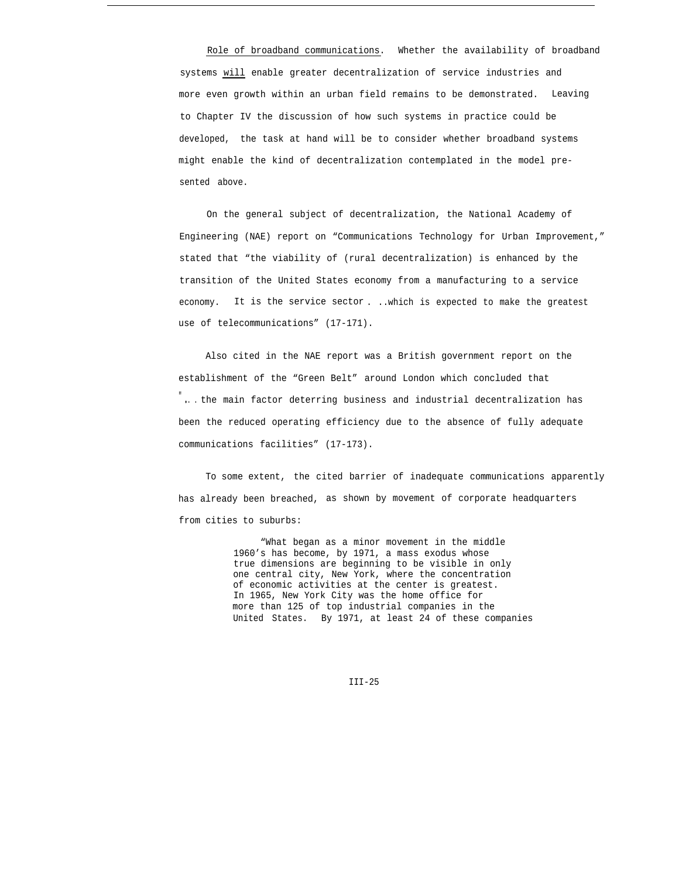Role of broadband communications. Whether the availability of broadband systems will enable greater decentralization of service industries and more even growth within an urban field remains to be demonstrated. Leaving to Chapter IV the discussion of how such systems in practice could be developed, the task at hand will be to consider whether broadband systems might enable the kind of decentralization contemplated in the model presented above.

On the general subject of decentralization, the National Academy of Engineering (NAE) report on "Communications Technology for Urban Improvement," stated that "the viability of (rural decentralization) is enhanced by the transition of the United States economy from a manufacturing to a service economy. It is the service sector . ..which is expected to make the greatest use of telecommunications" (17-171).

Also cited in the NAE report was a British government report on the establishment of the "Green Belt" around London which concluded that "... the main factor deterring business and industrial decentralization has been the reduced operating efficiency due to the absence of fully adequate communications facilities" (17-173).

To some extent, the cited barrier of inadequate communications apparently has already been breached, as shown by movement of corporate headquarters from cities to suburbs:

> "What began as a minor movement in the middle 1960's has become, by 1971, a mass exodus whose true dimensions are beginning to be visible in only one central city, New York, where the concentration of economic activities at the center is greatest. In 1965, New York City was the home office for more than 125 of top industrial companies in the United States. By 1971, at least 24 of these companies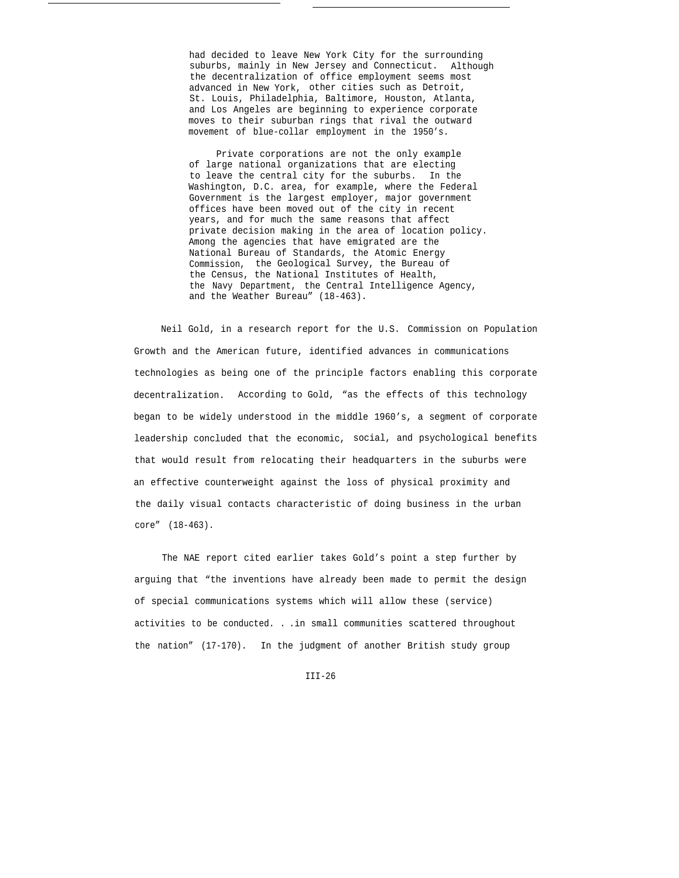had decided to leave New York City for the surrounding suburbs, mainly in New Jersey and Connecticut. Although the decentralization of office employment seems most advanced in New York, other cities such as Detroit, St. Louis, Philadelphia, Baltimore, Houston, Atlanta, and Los Angeles are beginning to experience corporate moves to their suburban rings that rival the outward movement of blue-collar employment in the 1950's.

Private corporations are not the only example of large national organizations that are electing to leave the central city for the suburbs. In the Washington, D.C. area, for example, where the Federal Government is the largest employer, major government offices have been moved out of the city in recent years, and for much the same reasons that affect private decision making in the area of location policy. Among the agencies that have emigrated are the National Bureau of Standards, the Atomic Energy Commission, the Geological Survey, the Bureau of the Census, the National Institutes of Health, the Navy Department, the Central Intelligence Agency, and the Weather Bureau" (18-463).

Neil Gold, in a research report for the U.S. Commission on Population Growth and the American future, identified advances in communications technologies as being one of the principle factors enabling this corporate decentralization. According to Gold, "as the effects of this technology began to be widely understood in the middle 1960's, a segment of corporate leadership concluded that the economic, social, and psychological benefits that would result from relocating their headquarters in the suburbs were an effective counterweight against the loss of physical proximity and the daily visual contacts characteristic of doing business in the urban core" (18-463).

The NAE report cited earlier takes Gold's point a step further by arguing that "the inventions have already been made to permit the design of special communications systems which will allow these (service) activities to be conducted. . .in small communities scattered throughout the nation" (17-170). In the judgment of another British study group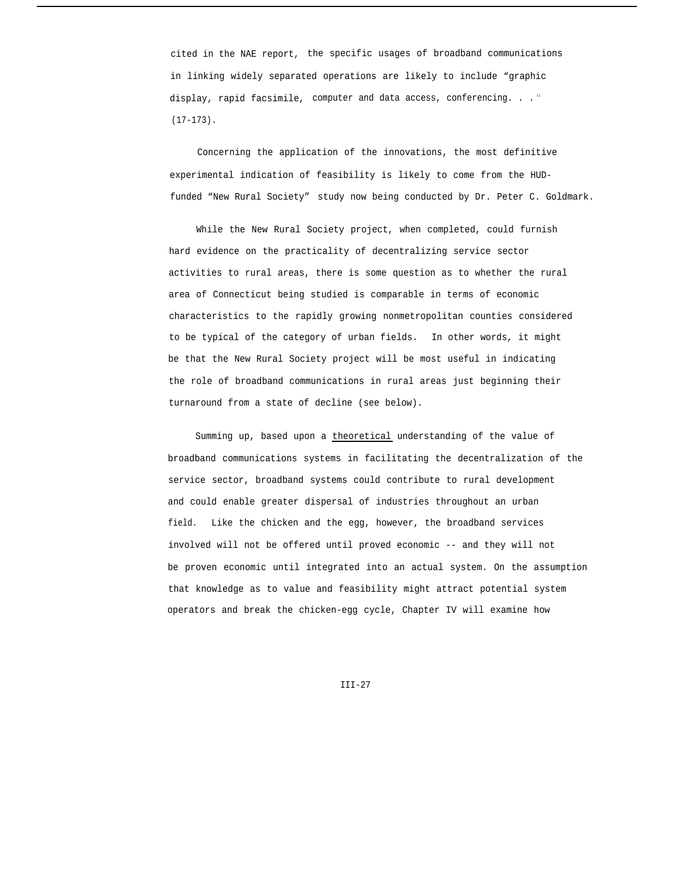cited in the NAE report, the specific usages of broadband communications in linking widely separated operations are likely to include "graphic display, rapid facsimile, computer and data access, conferencing. . . " (17-173).

Concerning the application of the innovations, the most definitive experimental indication of feasibility is likely to come from the HUDfunded "New Rural Society" study now being conducted by Dr. Peter C. Goldmark.

While the New Rural Society project, when completed, could furnish hard evidence on the practicality of decentralizing service sector activities to rural areas, there is some question as to whether the rural area of Connecticut being studied is comparable in terms of economic characteristics to the rapidly growing nonmetropolitan counties considered to be typical of the category of urban fields. In other words, it might be that the New Rural Society project will be most useful in indicating the role of broadband communications in rural areas just beginning their turnaround from a state of decline (see below).

Summing up, based upon a theoretical understanding of the value of broadband communications systems in facilitating the decentralization of the service sector, broadband systems could contribute to rural development and could enable greater dispersal of industries throughout an urban field. Like the chicken and the egg, however, the broadband services involved will not be offered until proved economic -- and they will not be proven economic until integrated into an actual system. On the assumption that knowledge as to value and feasibility might attract potential system operators and break the chicken-egg cycle, Chapter IV will examine how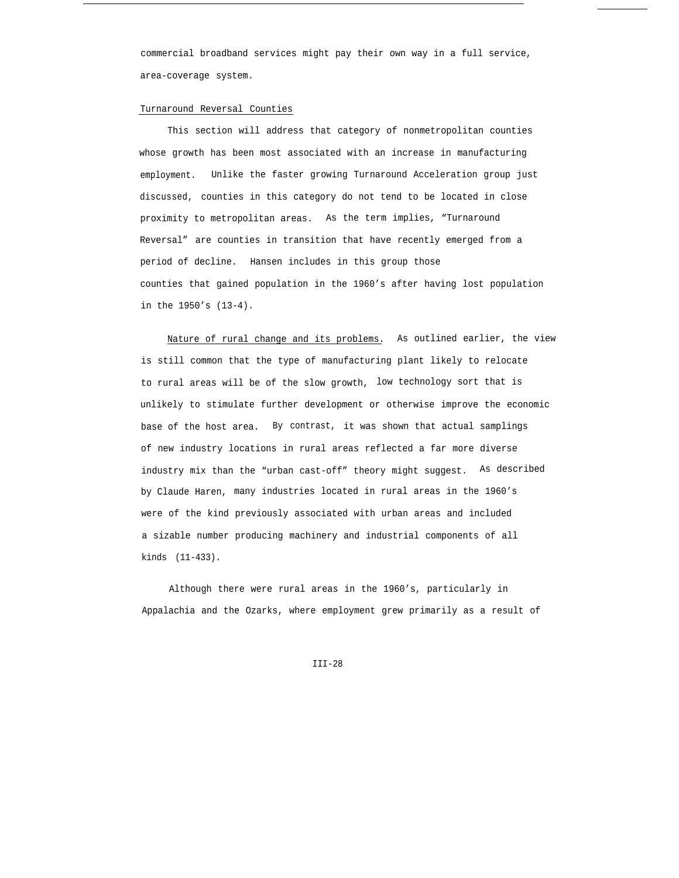commercial broadband services might pay their own way in a full service, area-coverage system.

#### Turnaround Reversal Counties

This section will address that category of nonmetropolitan counties whose growth has been most associated with an increase in manufacturing employment. Unlike the faster growing Turnaround Acceleration group just discussed, counties in this category do not tend to be located in close proximity to metropolitan areas. As the term implies, "Turnaround Reversal" are counties in transition that have recently emerged from a period of decline. Hansen includes in this group those counties that gained population in the 1960's after having lost population in the 1950's (13-4).

Nature of rural change and its problems. As outlined earlier, the view is still common that the type of manufacturing plant likely to relocate to rural areas will be of the slow growth, low technology sort that is unlikely to stimulate further development or otherwise improve the economic base of the host area. By contrast, it was shown that actual samplings of new industry locations in rural areas reflected a far more diverse industry mix than the "urban cast-off" theory might suggest. As described by Claude Haren, many industries located in rural areas in the 1960's were of the kind previously associated with urban areas and included a sizable number producing machinery and industrial components of all kinds (11-433).

Although there were rural areas in the 1960's, particularly in Appalachia and the Ozarks, where employment grew primarily as a result of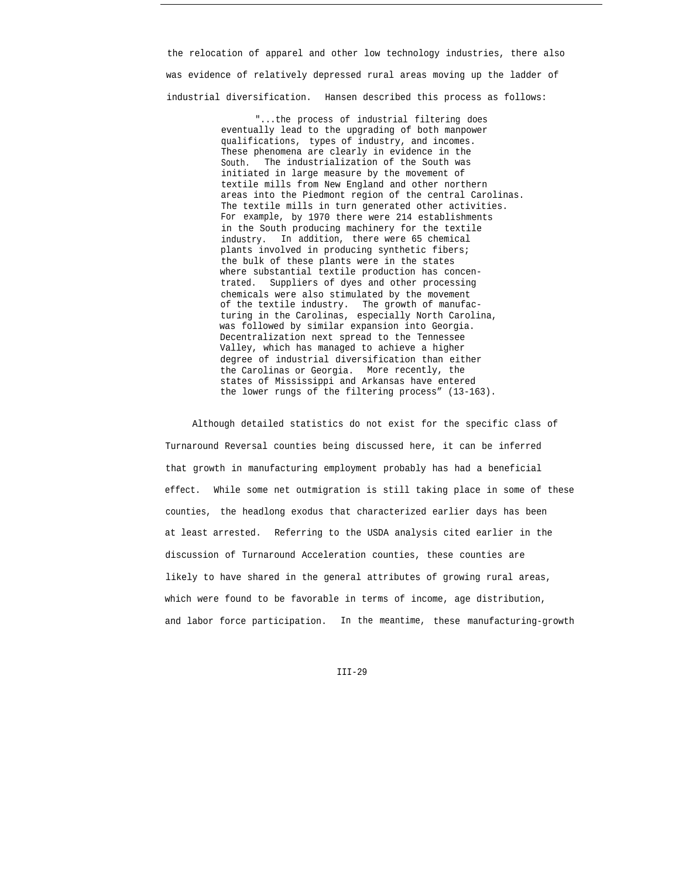the relocation of apparel and other low technology industries, there also was evidence of relatively depressed rural areas moving up the ladder of industrial diversification. Hansen described this process as follows:

> "...the process of industrial filtering does eventually lead to the upgrading of both manpower qualifications, types of industry, and incomes. These phenomena are clearly in evidence in the South. The industrialization of the South was initiated in large measure by the movement of textile mills from New England and other northern areas into the Piedmont region of the central Carolinas. The textile mills in turn generated other activities. For example, by 1970 there were 214 establishments in the South producing machinery for the textile industry. In addition, there were 65 chemical plants involved in producing synthetic fibers; the bulk of these plants were in the states where substantial textile production has concentrated. Suppliers of dyes and other processing chemicals were also stimulated by the movement of the textile industry. The growth of manufacturing in the Carolinas, especially North Carolina, was followed by similar expansion into Georgia. Decentralization next spread to the Tennessee Valley, which has managed to achieve a higher degree of industrial diversification than either the Carolinas or Georgia. More recently, the states of Mississippi and Arkansas have entered the lower rungs of the filtering process" (13-163).

Although detailed statistics do not exist for the specific class of Turnaround Reversal counties being discussed here, it can be inferred that growth in manufacturing employment probably has had a beneficial effect. While some net outmigration is still taking place in some of these counties, the headlong exodus that characterized earlier days has been at least arrested. Referring to the USDA analysis cited earlier in the discussion of Turnaround Acceleration counties, these counties are likely to have shared in the general attributes of growing rural areas, which were found to be favorable in terms of income, age distribution, and labor force participation. In the meantime, these manufacturing-growth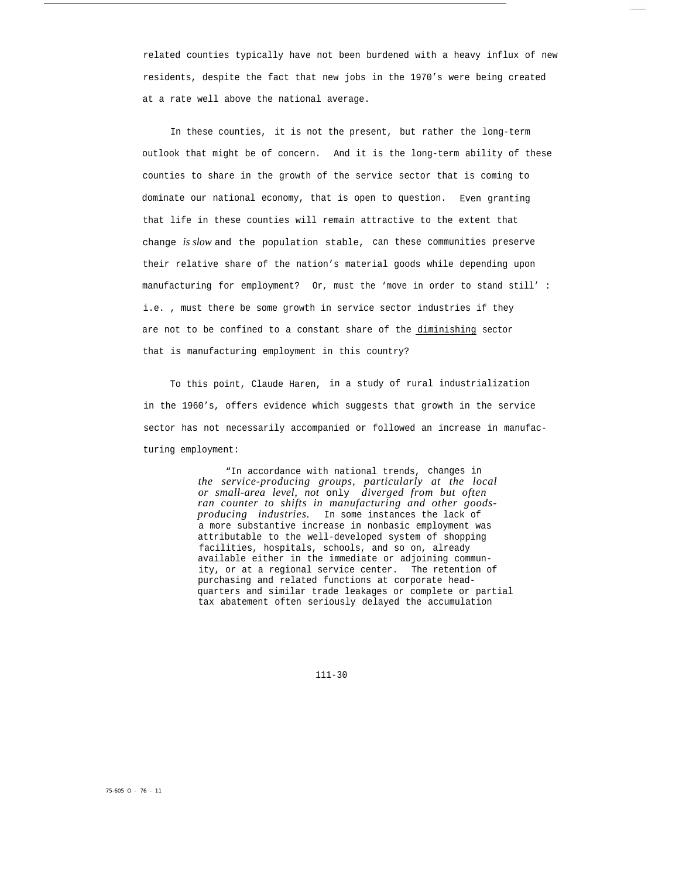related counties typically have not been burdened with a heavy influx of new residents, despite the fact that new jobs in the 1970's were being created at a rate well above the national average.

In these counties, it is not the present, but rather the long-term outlook that might be of concern. And it is the long-term ability of these counties to share in the growth of the service sector that is coming to dominate our national economy, that is open to question. Even granting that life in these counties will remain attractive to the extent that change *is slow* and the population stable, can these communities preserve their relative share of the nation's material goods while depending upon manufacturing for employment? Or, must the 'move in order to stand still' : i.e. , must there be some growth in service sector industries if they are not to be confined to a constant share of the diminishing sector that is manufacturing employment in this country?

To this point, Claude Haren, in a study of rural industrialization in the 1960's, offers evidence which suggests that growth in the service sector has not necessarily accompanied or followed an increase in manufacturing employment:

> "In accordance with national trends, changes in *the service-producing groups, particularly at the local or small-area level, not* only *diverged from but often ran counter to shifts in manufacturing and other goodsproducing industries.* In some instances the lack of a more substantive increase in nonbasic employment was attributable to the well-developed system of shopping facilities, hospitals, schools, and so on, already available either in the immediate or adjoining community, or at a regional service center. The retention of purchasing and related functions at corporate headquarters and similar trade leakages or complete or partial tax abatement often seriously delayed the accumulation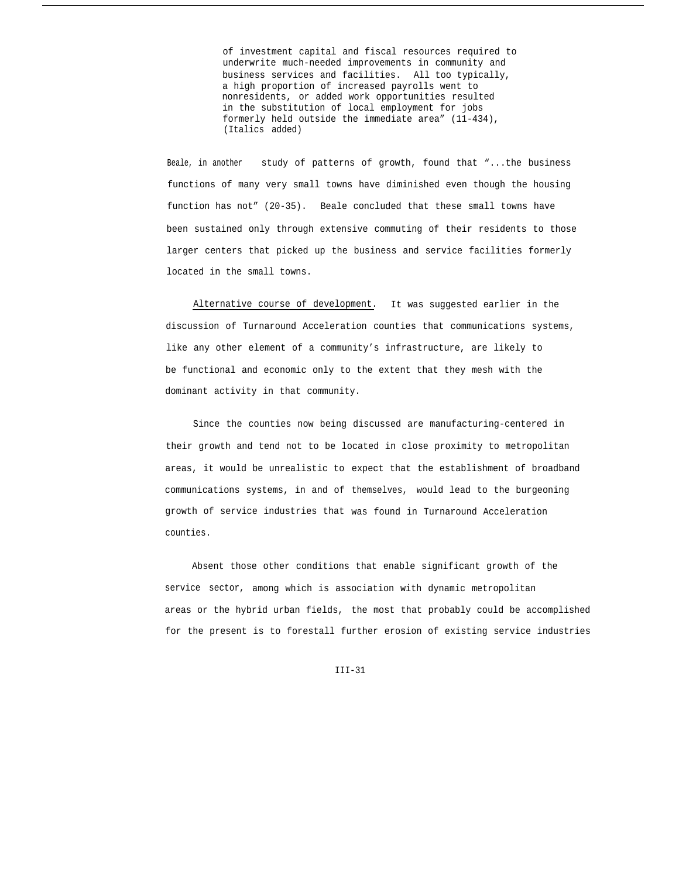of investment capital and fiscal resources required to underwrite much-needed improvements in community and business services and facilities. All too typically, a high proportion of increased payrolls went to nonresidents, or added work opportunities resulted in the substitution of local employment for jobs formerly held outside the immediate area" (11-434), (Italics added)

Beale, in another study of patterns of growth, found that "...the business functions of many very small towns have diminished even though the housing function has not" (20-35). Beale concluded that these small towns have been sustained only through extensive commuting of their residents to those larger centers that picked up the business and service facilities formerly located in the small towns.

Alternative course of development. It was suggested earlier in the discussion of Turnaround Acceleration counties that communications systems, like any other element of a community's infrastructure, are likely to be functional and economic only to the extent that they mesh with the dominant activity in that community.

Since the counties now being discussed are manufacturing-centered in their growth and tend not to be located in close proximity to metropolitan areas, it would be unrealistic to expect that the establishment of broadband communications systems, in and of themselves, would lead to the burgeoning growth of service industries that was found in Turnaround Acceleration counties.

Absent those other conditions that enable significant growth of the service sector, among which is association with dynamic metropolitan areas or the hybrid urban fields, the most that probably could be accomplished for the present is to forestall further erosion of existing service industries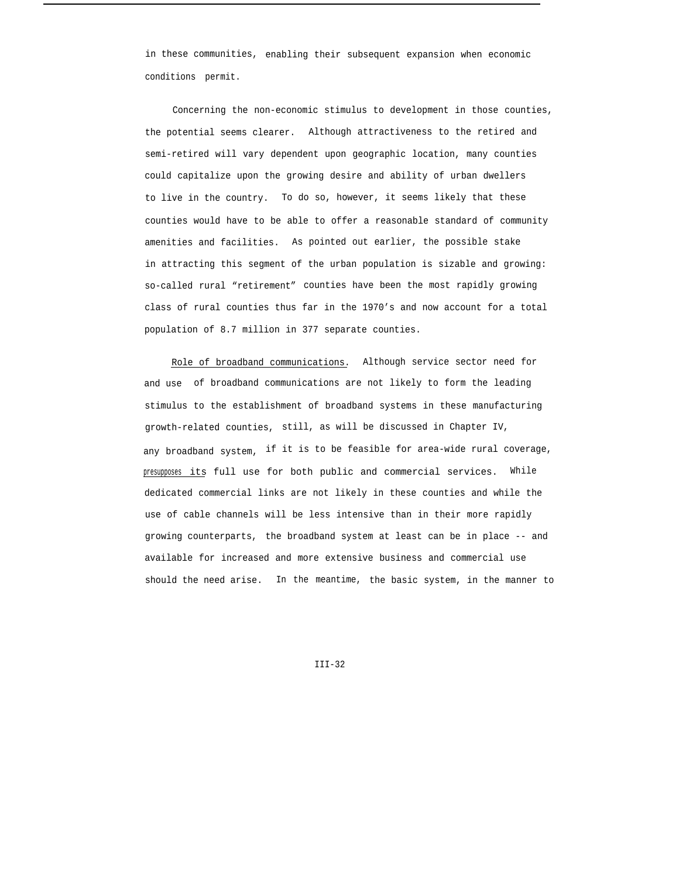in these communities, enabling their subsequent expansion when economic conditions permit.

Concerning the non-economic stimulus to development in those counties, the potential seems clearer. Although attractiveness to the retired and semi-retired will vary dependent upon geographic location, many counties could capitalize upon the growing desire and ability of urban dwellers to live in the country. To do so, however, it seems likely that these counties would have to be able to offer a reasonable standard of community amenities and facilities. As pointed out earlier, the possible stake in attracting this segment of the urban population is sizable and growing: so-called rural "retirement" counties have been the most rapidly growing class of rural counties thus far in the 1970's and now account for a total population of 8.7 million in 377 separate counties.

Role of broadband communications. Although service sector need for and use of broadband communications are not likely to form the leading stimulus to the establishment of broadband systems in these manufacturing growth-related counties, still, as will be discussed in Chapter IV, any broadband system, if it is to be feasible for area-wide rural coverage, presupposes its full use for both public and commercial services. While dedicated commercial links are not likely in these counties and while the use of cable channels will be less intensive than in their more rapidly growing counterparts, the broadband system at least can be in place -- and available for increased and more extensive business and commercial use should the need arise. In the meantime, the basic system, in the manner to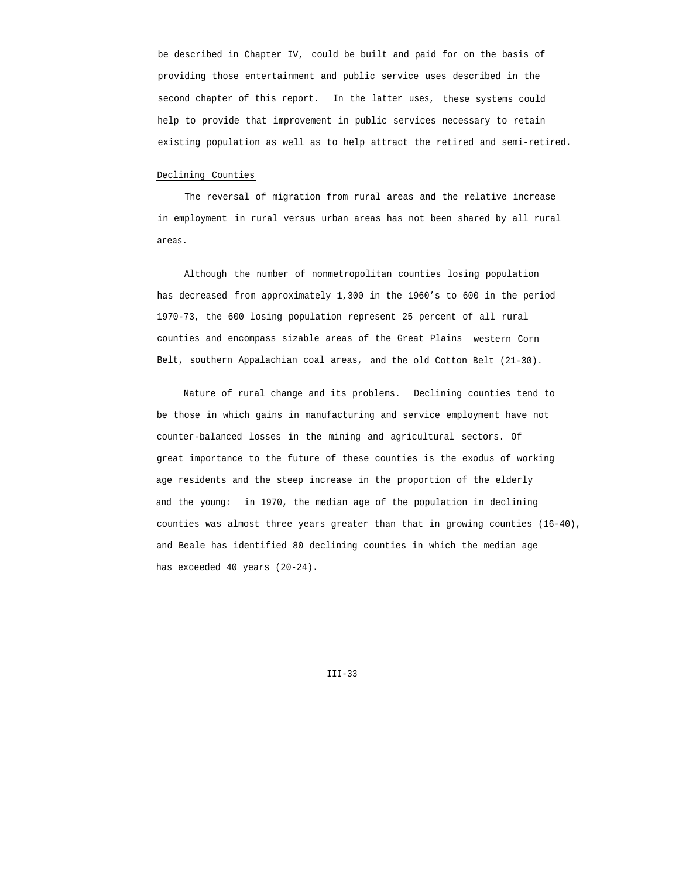be described in Chapter IV, could be built and paid for on the basis of providing those entertainment and public service uses described in the second chapter of this report. In the latter uses, these systems could help to provide that improvement in public services necessary to retain existing population as well as to help attract the retired and semi-retired.

#### Declining Counties

The reversal of migration from rural areas and the relative increase in employment in rural versus urban areas has not been shared by all rural areas.

Although the number of nonmetropolitan counties losing population has decreased from approximately 1,300 in the 1960's to 600 in the period 1970-73, the 600 losing population represent 25 percent of all rural counties and encompass sizable areas of the Great Plains western Corn Belt, southern Appalachian coal areas, and the old Cotton Belt (21-30).

Nature of rural change and its problems. Declining counties tend to be those in which gains in manufacturing and service employment have not counter-balanced losses in the mining and agricultural sectors. Of great importance to the future of these counties is the exodus of working age residents and the steep increase in the proportion of the elderly and the young: in 1970, the median age of the population in declining counties was almost three years greater than that in growing counties (16-40), and Beale has identified 80 declining counties in which the median age has exceeded 40 years (20-24).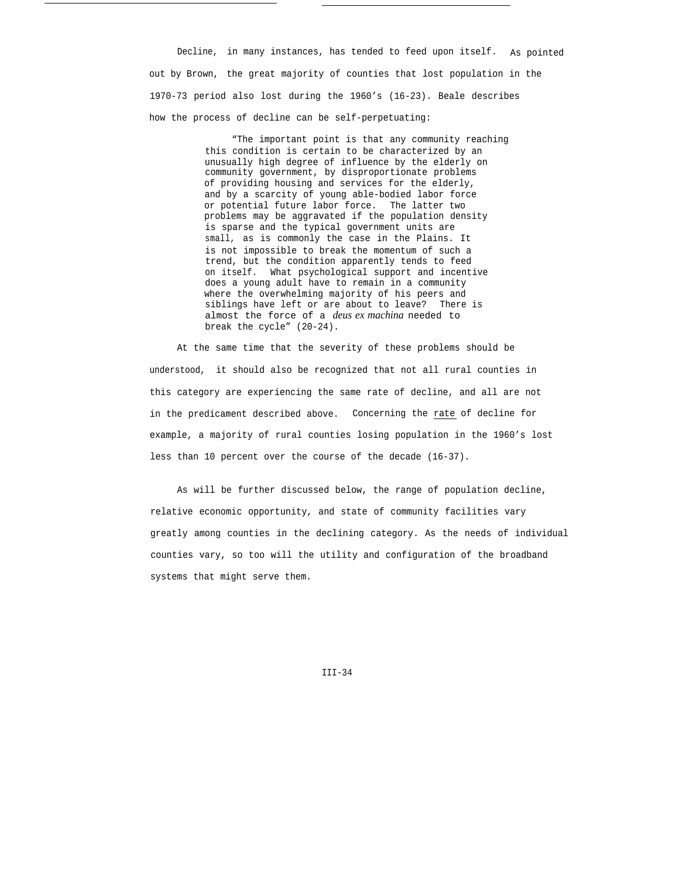Decline, in many instances, has tended to feed upon itself. As pointed out by Brown, the great majority of counties that lost population in the 1970-73 period also lost during the 1960's (16-23). Beale describes how the process of decline can be self-perpetuating:

> "The important point is that any community reaching this condition is certain to be characterized by an unusually high degree of influence by the elderly on community government, by disproportionate problems of providing housing and services for the elderly, and by a scarcity of young able-bodied labor force or potential future labor force. The latter two problems may be aggravated if the population density is sparse and the typical government units are small, as is commonly the case in the Plains. It is not impossible to break the momentum of such a trend, but the condition apparently tends to feed on itself. What psychological support and incentive does a young adult have to remain in a community where the overwhelming majority of his peers and siblings have left or are about to leave? There is almost the force of a *deus ex machina* needed to break the cycle" (20-24).

At the same time that the severity of these problems should be understood, it should also be recognized that not all rural counties in this category are experiencing the same rate of decline, and all are not in the predicament described above. Concerning the rate of decline for example, a majority of rural counties losing population in the 1960's lost less than 10 percent over the course of the decade (16-37).

As will be further discussed below, the range of population decline, relative economic opportunity, and state of community facilities vary greatly among counties in the declining category. As the needs of individual counties vary, so too will the utility and configuration of the broadband systems that might serve them.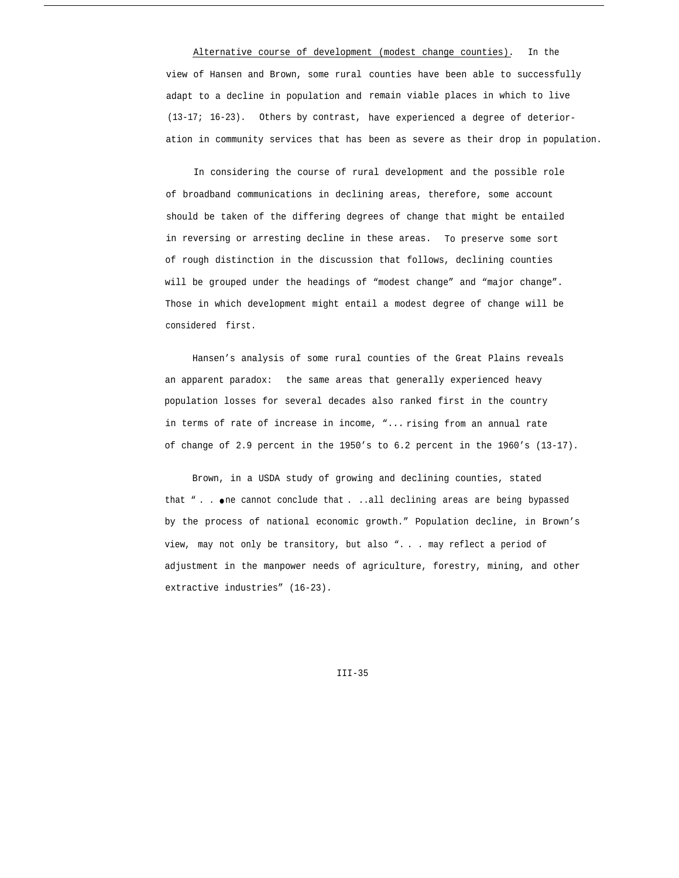Alternative course of development (modest change counties). In the view of Hansen and Brown, some rural counties have been able to successfully adapt to a decline in population and remain viable places in which to live (13-17; 16-23). Others by contrast, have experienced a degree of deterioration in community services that has been as severe as their drop in population.

In considering the course of rural development and the possible role of broadband communications in declining areas, therefore, some account should be taken of the differing degrees of change that might be entailed in reversing or arresting decline in these areas. To preserve some sort of rough distinction in the discussion that follows, declining counties will be grouped under the headings of "modest change" and "major change". Those in which development might entail a modest degree of change will be considered first.

Hansen's analysis of some rural counties of the Great Plains reveals an apparent paradox: the same areas that generally experienced heavy population losses for several decades also ranked first in the country in terms of rate of increase in income, "... rising from an annual rate of change of 2.9 percent in the 1950's to 6.2 percent in the 1960's (13-17).

Brown, in a USDA study of growing and declining counties, stated that " . . . One cannot conclude that . ..all declining areas are being bypassed by the process of national economic growth." Population decline, in Brown's view, may not only be transitory, but also ". . . may reflect a period of adjustment in the manpower needs of agriculture, forestry, mining, and other extractive industries" (16-23).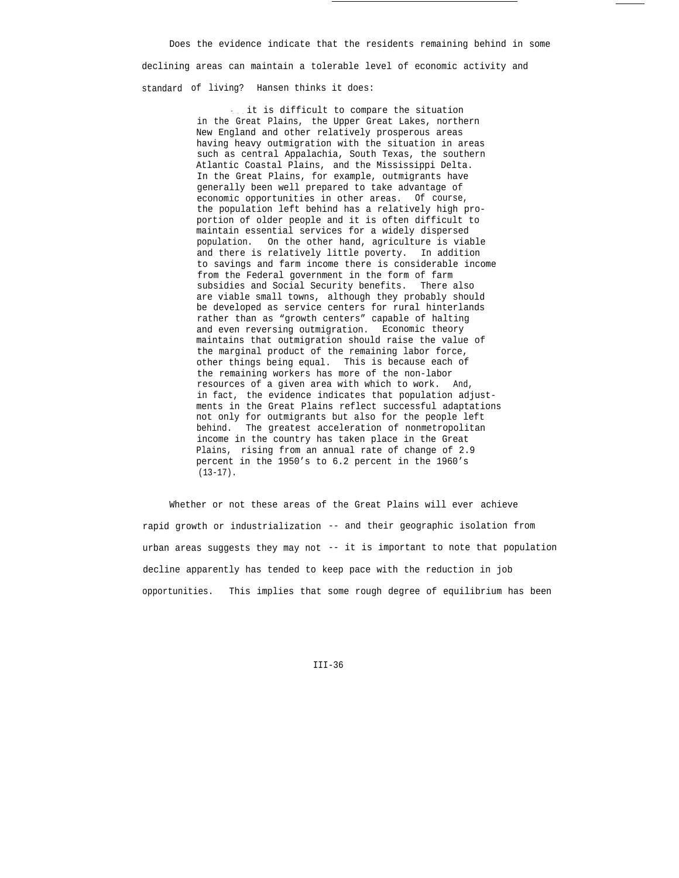Does the evidence indicate that the residents remaining behind in some declining areas can maintain a tolerable level of economic activity and standard of living? Hansen thinks it does:

> ... it is difficult to compare the situation in the Great Plains, the Upper Great Lakes, northern New England and other relatively prosperous areas having heavy outmigration with the situation in areas such as central Appalachia, South Texas, the southern Atlantic Coastal Plains, and the Mississippi Delta. In the Great Plains, for example, outmigrants have generally been well prepared to take advantage of economic opportunities in other areas. Of course, the population left behind has a relatively high proportion of older people and it is often difficult to maintain essential services for a widely dispersed population. On the other hand, agriculture is viable and there is relatively little poverty. In addition to savings and farm income there is considerable income from the Federal government in the form of farm subsidies and Social Security benefits. There also are viable small towns, although they probably should be developed as service centers for rural hinterlands rather than as "growth centers" capable of halting and even reversing outmigration. Economic theory maintains that outmigration should raise the value of the marginal product of the remaining labor force, other things being equal. This is because each of the remaining workers has more of the non-labor resources of a given area with which to work. And, in fact, the evidence indicates that population adjustments in the Great Plains reflect successful adaptations not only for outmigrants but also for the people left behind. The greatest acceleration of nonmetropolitan income in the country has taken place in the Great Plains, rising from an annual rate of change of 2.9 percent in the 1950's to 6.2 percent in the 1960's  $(13-17)$ .

Whether or not these areas of the Great Plains will ever achieve rapid growth or industrialization -- and their geographic isolation from urban areas suggests they may not -- it is important to note that population decline apparently has tended to keep pace with the reduction in job opportunities. This implies that some rough degree of equilibrium has been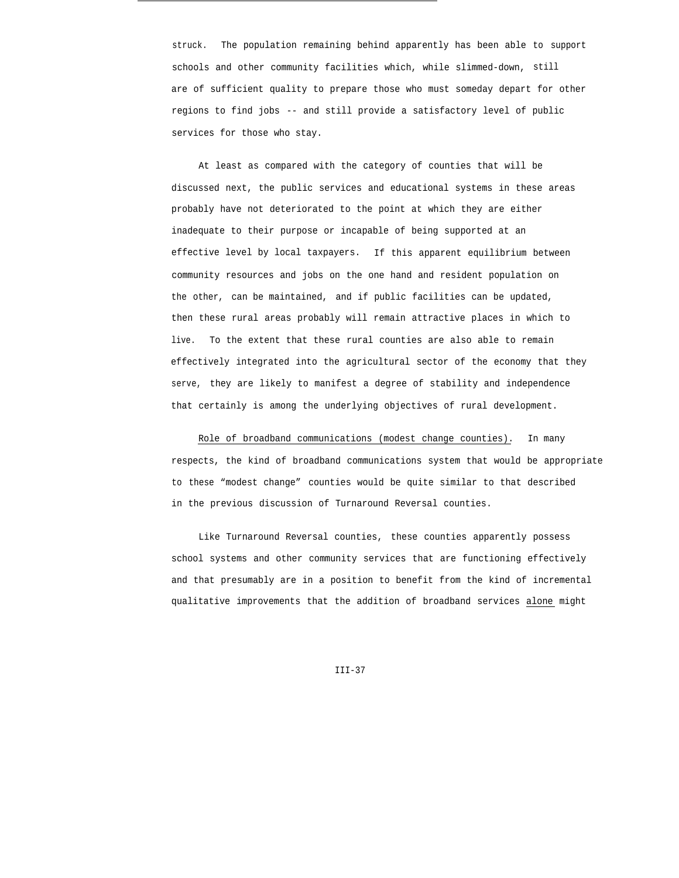struck. The population remaining behind apparently has been able to support schools and other community facilities which, while slimmed-down, still are of sufficient quality to prepare those who must someday depart for other regions to find jobs -- and still provide a satisfactory level of public services for those who stay.

At least as compared with the category of counties that will be discussed next, the public services and educational systems in these areas probably have not deteriorated to the point at which they are either inadequate to their purpose or incapable of being supported at an effective level by local taxpayers. If this apparent equilibrium between community resources and jobs on the one hand and resident population on the other, can be maintained, and if public facilities can be updated, then these rural areas probably will remain attractive places in which to live. To the extent that these rural counties are also able to remain effectively integrated into the agricultural sector of the economy that they serve, they are likely to manifest a degree of stability and independence that certainly is among the underlying objectives of rural development.

Role of broadband communications (modest change counties). In many respects, the kind of broadband communications system that would be appropriate to these "modest change" counties would be quite similar to that described in the previous discussion of Turnaround Reversal counties.

Like Turnaround Reversal counties, these counties apparently possess school systems and other community services that are functioning effectively and that presumably are in a position to benefit from the kind of incremental qualitative improvements that the addition of broadband services alone might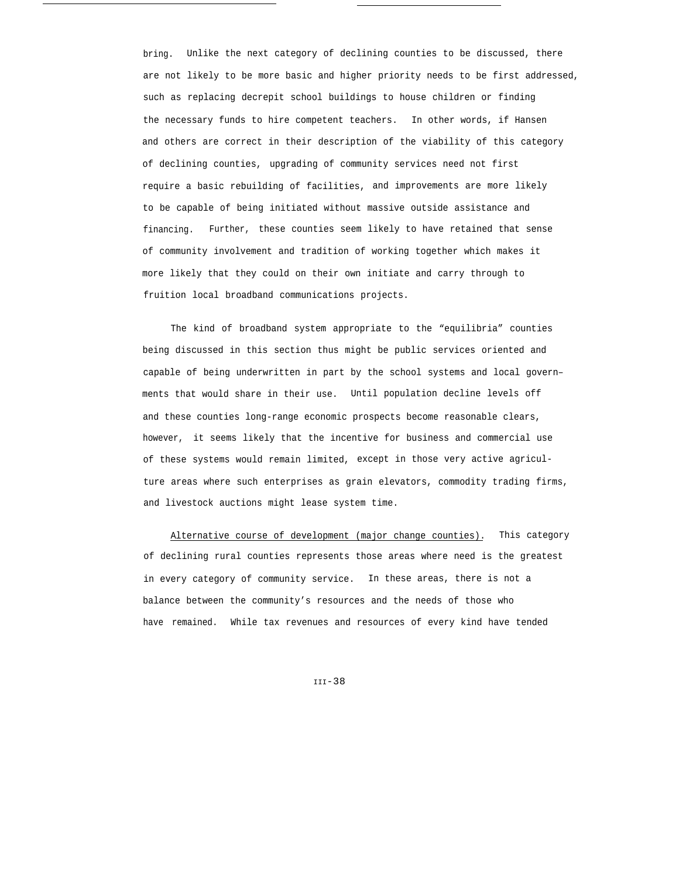bring. Unlike the next category of declining counties to be discussed, there are not likely to be more basic and higher priority needs to be first addressed, such as replacing decrepit school buildings to house children or finding the necessary funds to hire competent teachers. In other words, if Hansen and others are correct in their description of the viability of this category of declining counties, upgrading of community services need not first require a basic rebuilding of facilities, and improvements are more likely to be capable of being initiated without massive outside assistance and financing. Further, these counties seem likely to have retained that sense of community involvement and tradition of working together which makes it more likely that they could on their own initiate and carry through to fruition local broadband communications projects.

The kind of broadband system appropriate to the "equilibria" counties being discussed in this section thus might be public services oriented and capable of being underwritten in part by the school systems and local govern– ments that would share in their use. Until population decline levels off and these counties long-range economic prospects become reasonable clears, however, it seems likely that the incentive for business and commercial use of these systems would remain limited, except in those very active agriculture areas where such enterprises as grain elevators, commodity trading firms, and livestock auctions might lease system time.

Alternative course of development (major change counties). This category of declining rural counties represents those areas where need is the greatest in every category of community service. In these areas, there is not a balance between the community's resources and the needs of those who have remained. While tax revenues and resources of every kind have tended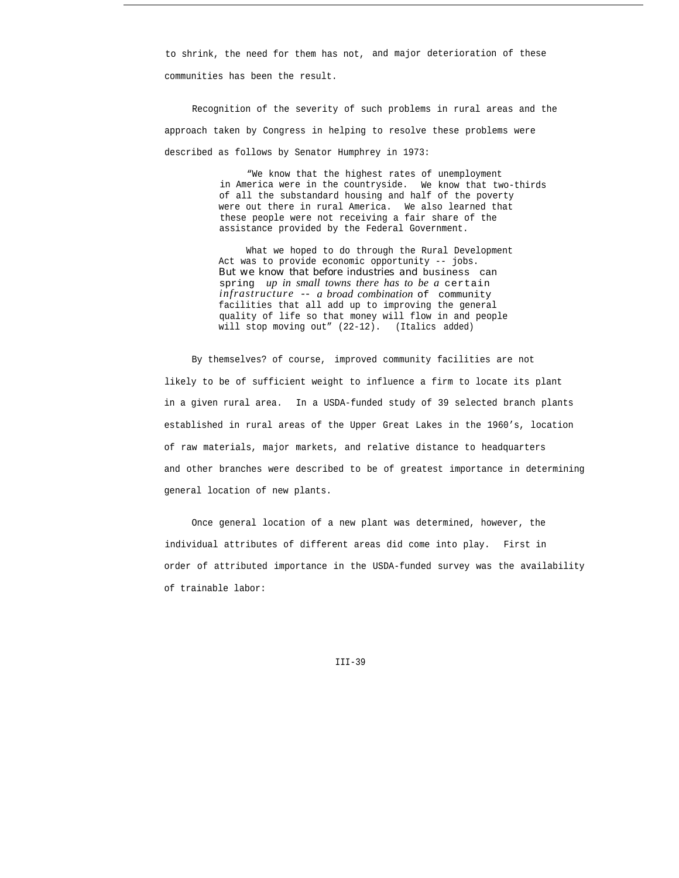to shrink, the need for them has not, and major deterioration of these communities has been the result.

Recognition of the severity of such problems in rural areas and the approach taken by Congress in helping to resolve these problems were described as follows by Senator Humphrey in 1973:

> "We know that the highest rates of unemployment in America were in the countryside. We know that two-thirds of all the substandard housing and half of the poverty were out there in rural America. We also learned that these people were not receiving a fair share of the assistance provided by the Federal Government.

What we hoped to do through the Rural Development Act was to provide economic opportunity -- jobs. *But we know that before industries and* business can spring *up in small towns there has to be a* certain *infrastructure -- a broad combination* of community facilities that all add up to improving the general quality of life so that money will flow in and people will stop moving out" (22-12). (Italics added)

By themselves? of course, improved community facilities are not likely to be of sufficient weight to influence a firm to locate its plant in a given rural area. In a USDA-funded study of 39 selected branch plants established in rural areas of the Upper Great Lakes in the 1960's, location of raw materials, major markets, and relative distance to headquarters and other branches were described to be of greatest importance in determining general location of new plants.

Once general location of a new plant was determined, however, the individual attributes of different areas did come into play. First in order of attributed importance in the USDA-funded survey was the availability of trainable labor: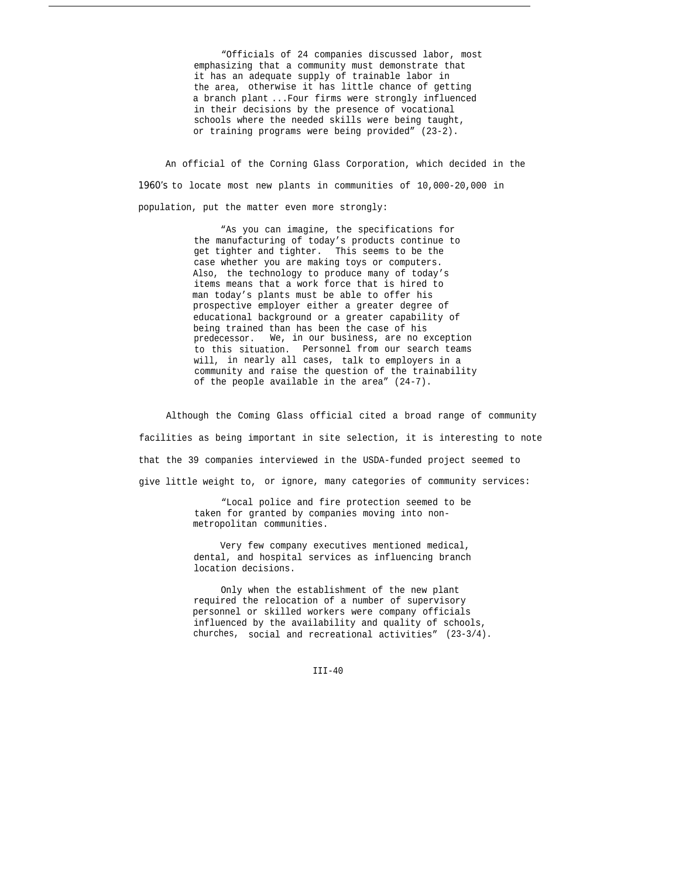"Officials of 24 companies discussed labor, most emphasizing that a community must demonstrate that it has an adequate supply of trainable labor in the area, otherwise it has little chance of getting a branch plant ...Four firms were strongly influenced in their decisions by the presence of vocational schools where the needed skills were being taught, or training programs were being provided" (23-2).

An official of the Corning Glass Corporation, which decided in the *1960's* to locate most new plants in communities of 10,000-20,000 in population, put the matter even more strongly:

> "As you can imagine, the specifications for the manufacturing of today's products continue to get tighter and tighter. This seems to be the case whether you are making toys or computers. Also, the technology to produce many of today's items means that a work force that is hired to man today's plants must be able to offer his prospective employer either a greater degree of educational background or a greater capability of being trained than has been the case of his predecessor. We, in our business, are no exception to this situation. Personnel from our search teams will, in nearly all cases, talk to employers in a community and raise the question of the trainability of the people available in the area" (24-7).

Although the Coming Glass official cited a broad range of community facilities as being important in site selection, it is interesting to note that the 39 companies interviewed in the USDA-funded project seemed to give little weight to, or ignore, many categories of community services:

> "Local police and fire protection seemed to be taken for granted by companies moving into nonmetropolitan communities.

> Very few company executives mentioned medical, dental, and hospital services as influencing branch location decisions.

Only when the establishment of the new plant required the relocation of a number of supervisory personnel or skilled workers were company officials influenced by the availability and quality of schools, churches, social and recreational activities" (23-3/4).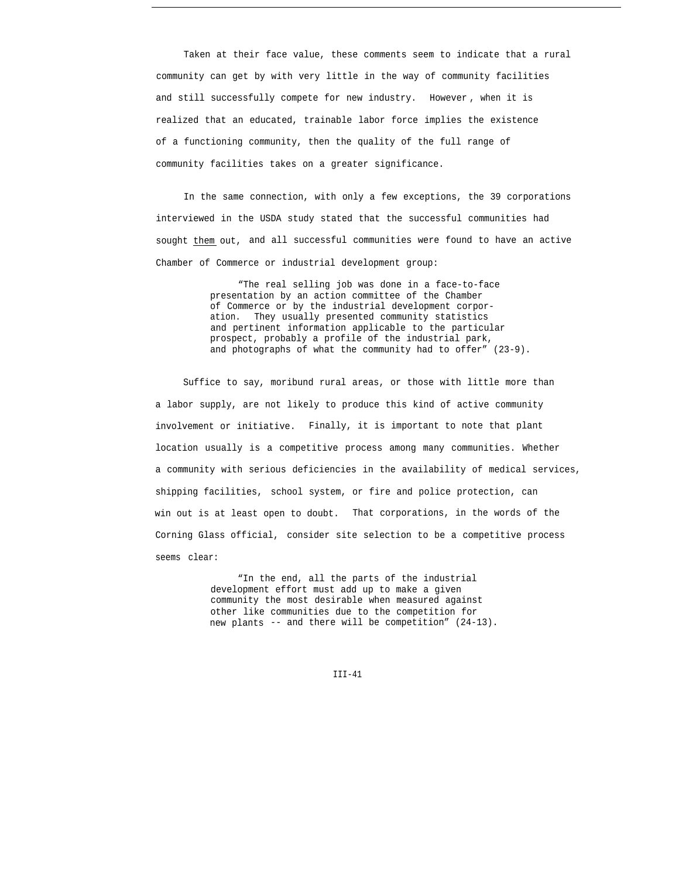Taken at their face value, these comments seem to indicate that a rural community can get by with very little in the way of community facilities and still successfully compete for new industry. However , when it is realized that an educated, trainable labor force implies the existence of a functioning community, then the quality of the full range of community facilities takes on a greater significance.

In the same connection, with only a few exceptions, the 39 corporations interviewed in the USDA study stated that the successful communities had sought them out, and all successful communities were found to have an active Chamber of Commerce or industrial development group:

> "The real selling job was done in a face-to-face presentation by an action committee of the Chamber of Commerce or by the industrial development corporation. They usually presented community statistics and pertinent information applicable to the particular prospect, probably a profile of the industrial park, and photographs of what the community had to offer" (23-9).

Suffice to say, moribund rural areas, or those with little more than a labor supply, are not likely to produce this kind of active community involvement or initiative. Finally, it is important to note that plant location usually is a competitive process among many communities. Whether a community with serious deficiencies in the availability of medical services, shipping facilities, school system, or fire and police protection, can win out is at least open to doubt. That corporations, in the words of the Corning Glass official, consider site selection to be a competitive process seems clear:

> "In the end, all the parts of the industrial development effort must add up to make a given community the most desirable when measured against other like communities due to the competition for new plants -- and there will be competition" (24-13).

> > $TTT-41$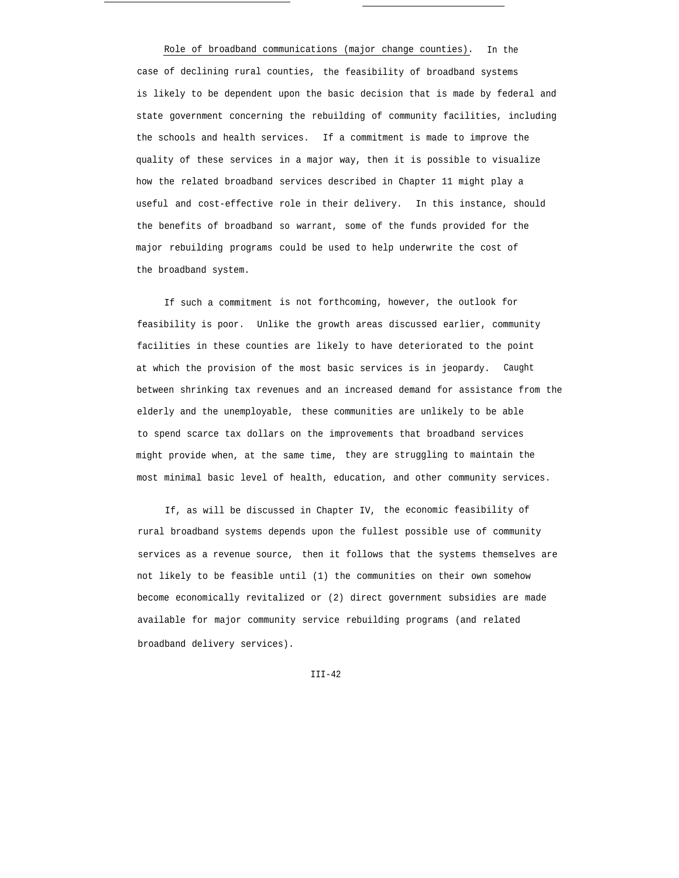Role of broadband communications (major change counties). In the case of declining rural counties, the feasibility of broadband systems is likely to be dependent upon the basic decision that is made by federal and state government concerning the rebuilding of community facilities, including the schools and health services. If a commitment is made to improve the quality of these services in a major way, then it is possible to visualize how the related broadband services described in Chapter 11 might play a useful and cost-effective role in their delivery. In this instance, should the benefits of broadband so warrant, some of the funds provided for the major rebuilding programs could be used to help underwrite the cost of the broadband system.

If such a commitment is not forthcoming, however, the outlook for feasibility is poor. Unlike the growth areas discussed earlier, community facilities in these counties are likely to have deteriorated to the point at which the provision of the most basic services is in jeopardy. Caught between shrinking tax revenues and an increased demand for assistance from the elderly and the unemployable, these communities are unlikely to be able to spend scarce tax dollars on the improvements that broadband services might provide when, at the same time, they are struggling to maintain the most minimal basic level of health, education, and other community services.

If, as will be discussed in Chapter IV, the economic feasibility of rural broadband systems depends upon the fullest possible use of community services as a revenue source, then it follows that the systems themselves are not likely to be feasible until (1) the communities on their own somehow become economically revitalized or (2) direct government subsidies are made available for major community service rebuilding programs (and related broadband delivery services).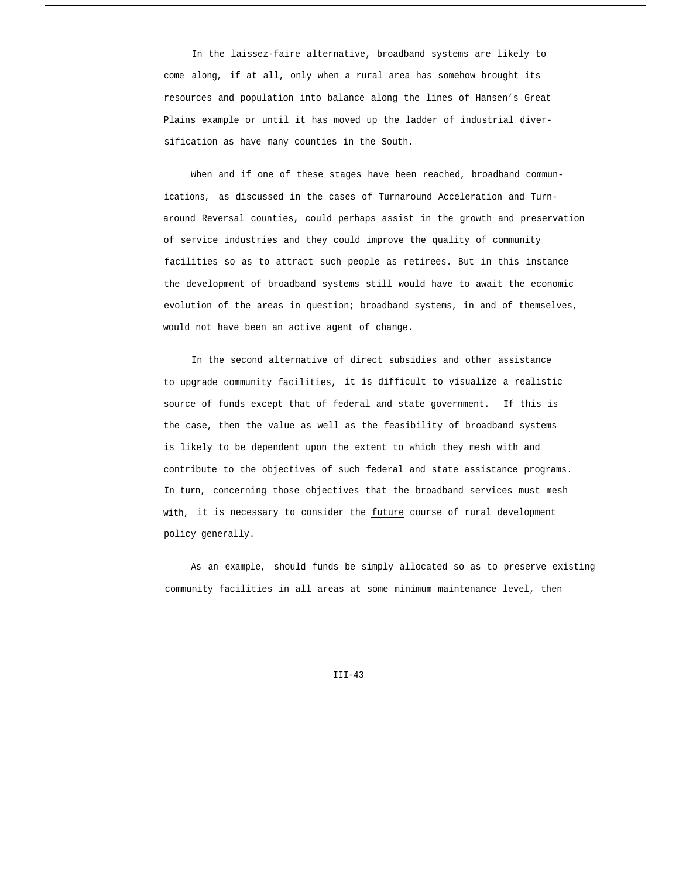In the laissez-faire alternative, broadband systems are likely to come along, if at all, only when a rural area has somehow brought its resources and population into balance along the lines of Hansen's Great Plains example or until it has moved up the ladder of industrial diversification as have many counties in the South.

When and if one of these stages have been reached, broadband communications, as discussed in the cases of Turnaround Acceleration and Turnaround Reversal counties, could perhaps assist in the growth and preservation of service industries and they could improve the quality of community facilities so as to attract such people as retirees. But in this instance the development of broadband systems still would have to await the economic evolution of the areas in question; broadband systems, in and of themselves, would not have been an active agent of change.

In the second alternative of direct subsidies and other assistance to upgrade community facilities, it is difficult to visualize a realistic source of funds except that of federal and state government. If this is the case, then the value as well as the feasibility of broadband systems is likely to be dependent upon the extent to which they mesh with and contribute to the objectives of such federal and state assistance programs. In turn, concerning those objectives that the broadband services must mesh with, it is necessary to consider the future course of rural development policy generally.

As an example, should funds be simply allocated so as to preserve existing community facilities in all areas at some minimum maintenance level, then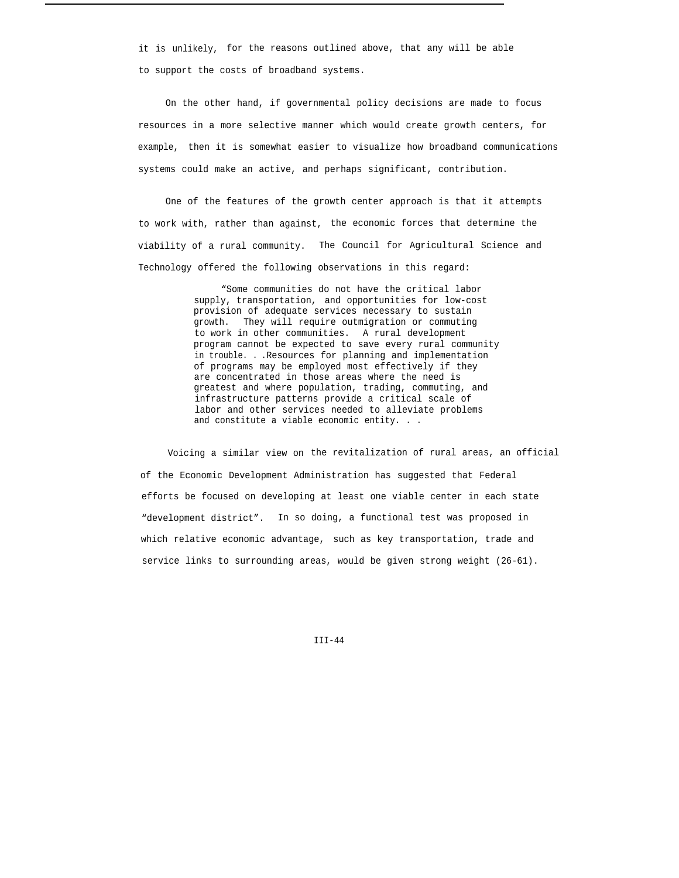it is unlikely, for the reasons outlined above, that any will be able to support the costs of broadband systems.

On the other hand, if governmental policy decisions are made to focus resources in a more selective manner which would create growth centers, for example, then it is somewhat easier to visualize how broadband communications systems could make an active, and perhaps significant, contribution.

One of the features of the growth center approach is that it attempts to work with, rather than against, the economic forces that determine the viability of a rural community. The Council for Agricultural Science and Technology offered the following observations in this regard:

> "Some communities do not have the critical labor supply, transportation, and opportunities for low-cost provision of adequate services necessary to sustain growth. They will require outmigration or commuting to work in other communities. A rural development program cannot be expected to save every rural community in trouble. . .Resources for planning and implementation of programs may be employed most effectively if they are concentrated in those areas where the need is greatest and where population, trading, commuting, and infrastructure patterns provide a critical scale of labor and other services needed to alleviate problems and constitute a viable economic entity. . .

Voicing a similar view on the revitalization of rural areas, an official of the Economic Development Administration has suggested that Federal efforts be focused on developing at least one viable center in each state "development district". In so doing, a functional test was proposed in which relative economic advantage, such as key transportation, trade and service links to surrounding areas, would be given strong weight (26-61).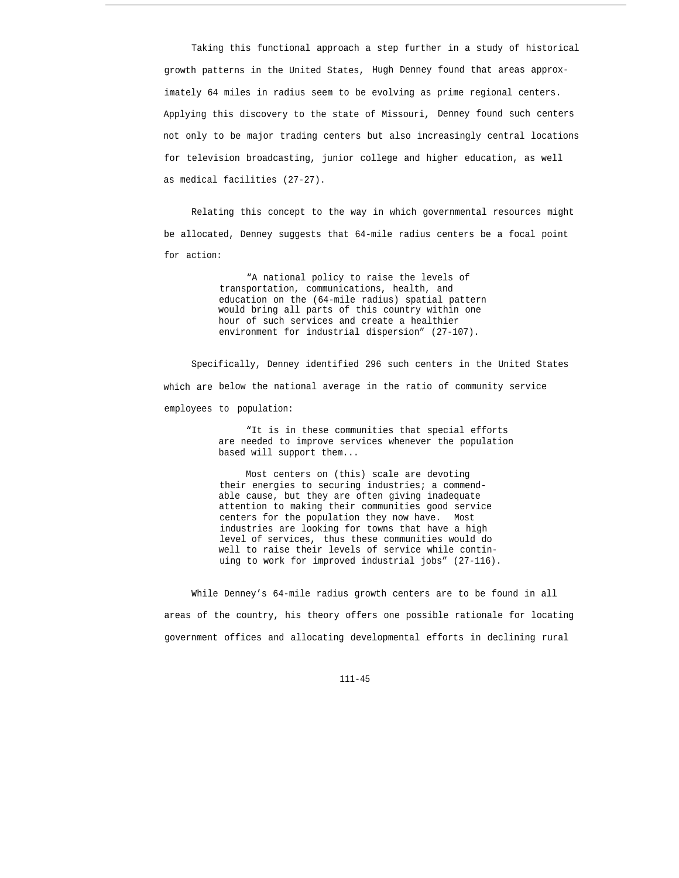Taking this functional approach a step further in a study of historical growth patterns in the United States, Hugh Denney found that areas approximately 64 miles in radius seem to be evolving as prime regional centers. Applying this discovery to the state of Missouri, Denney found such centers not only to be major trading centers but also increasingly central locations for television broadcasting, junior college and higher education, as well as medical facilities (27-27).

Relating this concept to the way in which governmental resources might be allocated, Denney suggests that 64-mile radius centers be a focal point for action:

> "A national policy to raise the levels of transportation, communications, health, and education on the (64-mile radius) spatial pattern would bring all parts of this country within one hour of such services and create a healthier environment for industrial dispersion" (27-107).

Specifically, Denney identified 296 such centers in the United States which are below the national average in the ratio of community service employees to population:

> "It is in these communities that special efforts are needed to improve services whenever the population based will support them...

Most centers on (this) scale are devoting their energies to securing industries; a commendable cause, but they are often giving inadequate attention to making their communities good service centers for the population they now have. Most industries are looking for towns that have a high level of services, thus these communities would do well to raise their levels of service while continuing to work for improved industrial jobs" (27-116).

While Denney's 64-mile radius growth centers are to be found in all areas of the country, his theory offers one possible rationale for locating government offices and allocating developmental efforts in declining rural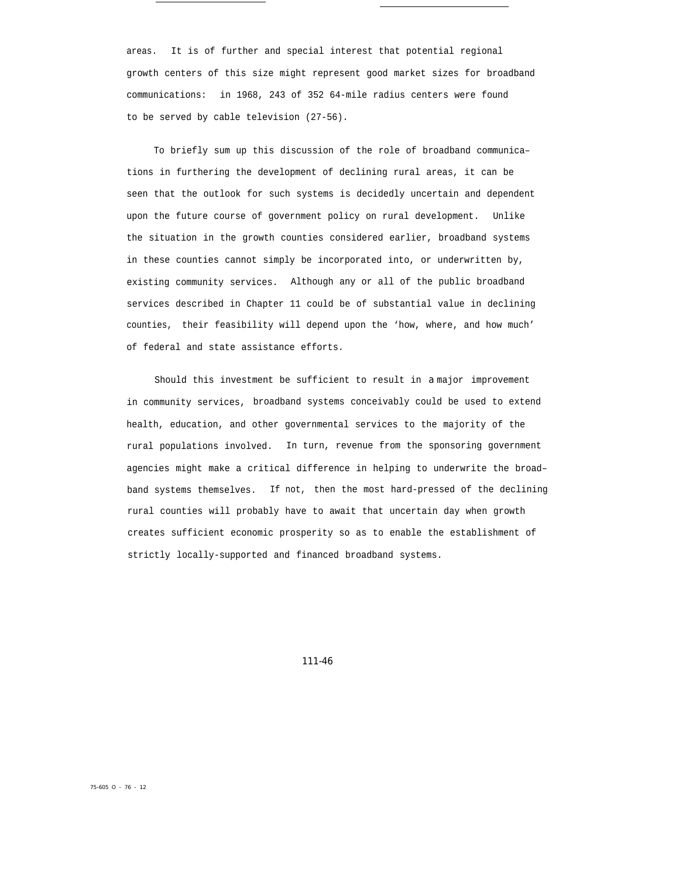areas. It is of further and special interest that potential regional growth centers of this size might represent good market sizes for broadband communications: in 1968, 243 of 352 64-mile radius centers were found to be served by cable television (27-56).

To briefly sum up this discussion of the role of broadband communica– tions in furthering the development of declining rural areas, it can be seen that the outlook for such systems is decidedly uncertain and dependent upon the future course of government policy on rural development. Unlike the situation in the growth counties considered earlier, broadband systems in these counties cannot simply be incorporated into, or underwritten by, existing community services. Although any or all of the public broadband services described in Chapter 11 could be of substantial value in declining counties, their feasibility will depend upon the 'how, where, and how much' of federal and state assistance efforts.

Should this investment be sufficient to result in *a* major improvement in community services, broadband systems conceivably could be used to extend health, education, and other governmental services to the majority of the rural populations involved. In turn, revenue from the sponsoring government agencies might make a critical difference in helping to underwrite the broad– band systems themselves. If not, then the most hard-pressed of the declining rural counties will probably have to await that uncertain day when growth creates sufficient economic prosperity so as to enable the establishment of strictly locally-supported and financed broadband systems.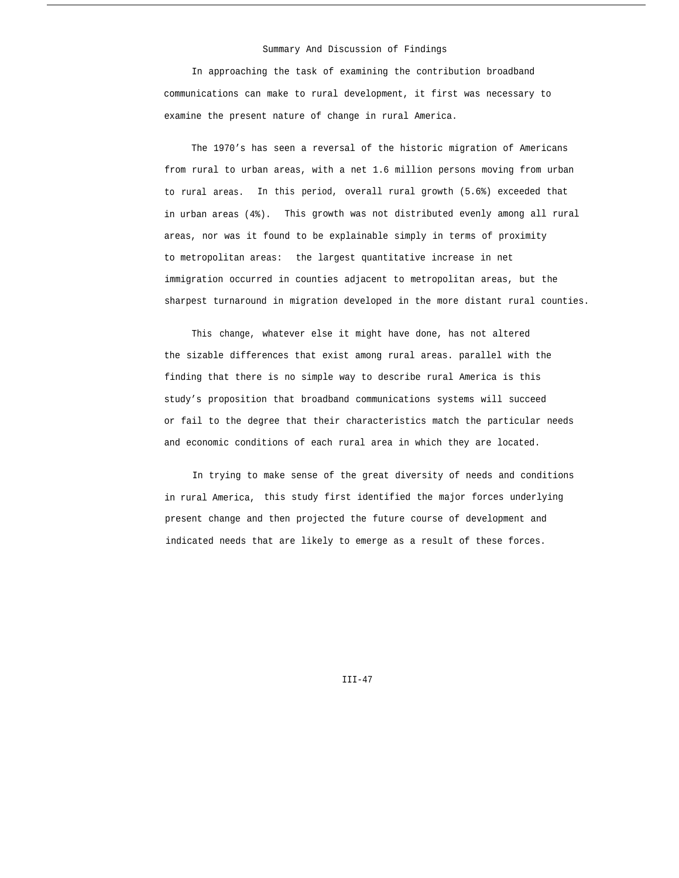#### Summary And Discussion of Findings

In approaching the task of examining the contribution broadband communications can make to rural development, it first was necessary to examine the present nature of change in rural America.

The 1970's has seen a reversal of the historic migration of Americans from rural to urban areas, with a net 1.6 million persons moving from urban to rural areas. In this period, overall rural growth (5.6%) exceeded that in urban areas (4%). This growth was not distributed evenly among all rural areas, nor was it found to be explainable simply in terms of proximity to metropolitan areas: the largest quantitative increase in net immigration occurred in counties adjacent to metropolitan areas, but the sharpest turnaround in migration developed in the more distant rural counties.

This change, whatever else it might have done, has not altered the sizable differences that exist among rural areas. parallel with the finding that there is no simple way to describe rural America is this study's proposition that broadband communications systems will succeed or fail to the degree that their characteristics match the particular needs and economic conditions of each rural area in which they are located.

In trying to make sense of the great diversity of needs and conditions in rural America, this study first identified the major forces underlying present change and then projected the future course of development and indicated needs that are likely to emerge as a result of these forces.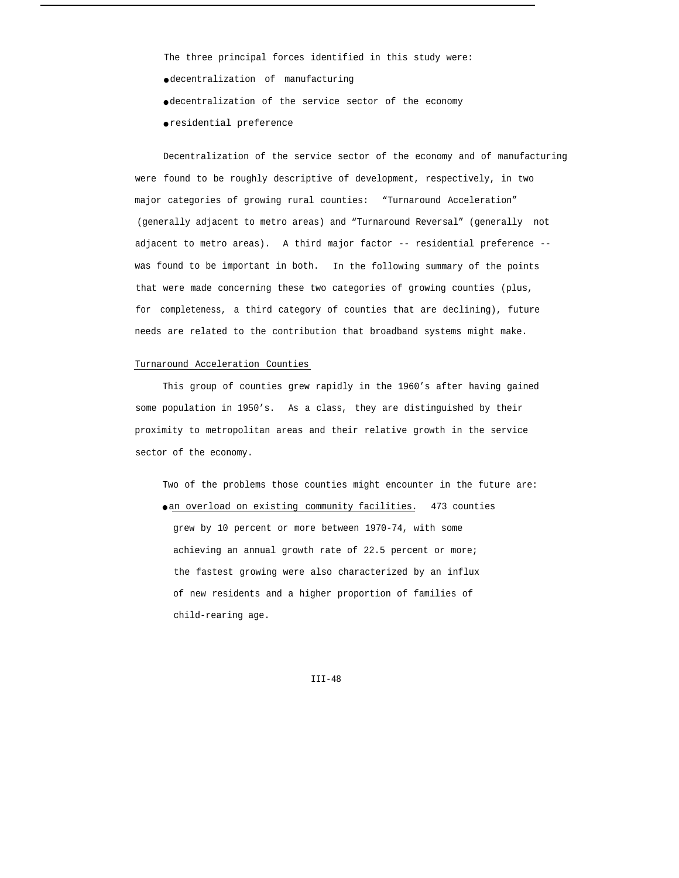The three principal forces identified in this study were:

- decentralization of manufacturing
- decentralization of the service sector of the economy
- residential preference

were found to be roughly descriptive of development, respectively, in two Decentralization of the service sector of the economy and of manufacturing major categories of growing rural counties: "Turnaround Acceleration" (generally adjacent to metro areas) and "Turnaround Reversal" (generally not adjacent to metro areas). A third major factor -- residential preference - was found to be important in both. In the following summary of the points that were made concerning these two categories of growing counties (plus, for completeness, a third category of counties that are declining), future needs are related to the contribution that broadband systems might make.

#### Turnaround Acceleration Counties

This group of counties grew rapidly in the 1960's after having gained some population in 1950's. As a class, they are distinguished by their proximity to metropolitan areas and their relative growth in the service sector of the economy.

Two of the problems those counties might encounter in the future are: o an overload on existing community facilities. 473 counties grew by 10 percent or more between 1970-74, with some achieving an annual growth rate of 22.5 percent or more; the fastest growing were also characterized by an influx of new residents and a higher proportion of families of child-rearing age.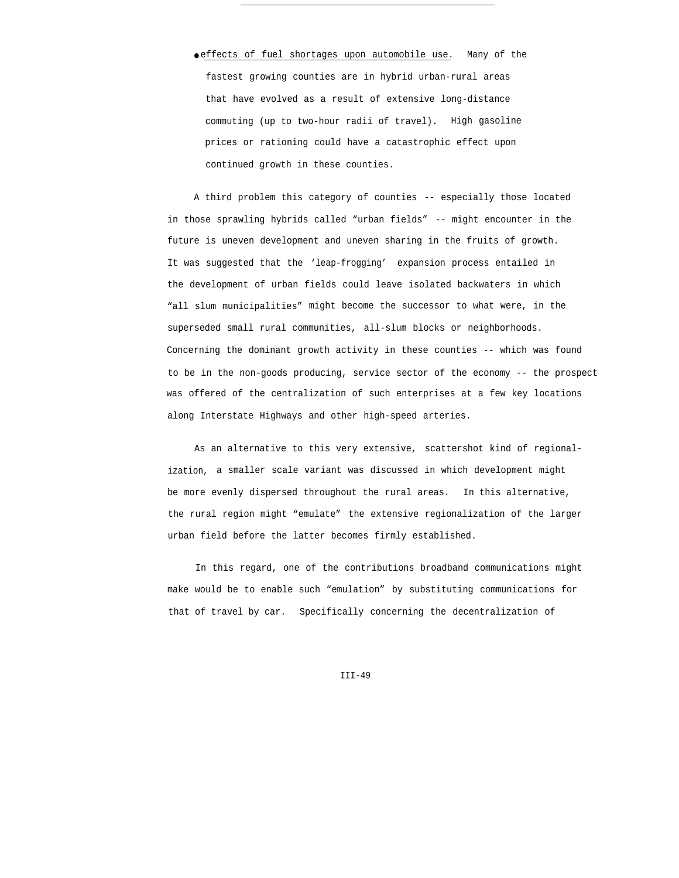● effects of fuel shortages upon automobile use. Many of the fastest growing counties are in hybrid urban-rural areas that have evolved as a result of extensive long-distance commuting (up to two-hour radii of travel). High gasoline prices or rationing could have a catastrophic effect upon continued growth in these counties.

A third problem this category of counties -- especially those located in those sprawling hybrids called "urban fields" -- might encounter in the future is uneven development and uneven sharing in the fruits of growth. It was suggested that the 'leap-frogging' expansion process entailed in the development of urban fields could leave isolated backwaters in which "all slum municipalities" might become the successor to what were, in the superseded small rural communities, all-slum blocks or neighborhoods. Concerning the dominant growth activity in these counties -- which was found to be in the non-goods producing, service sector of the economy -- the prospect was offered of the centralization of such enterprises at a few key locations along Interstate Highways and other high-speed arteries.

As an alternative to this very extensive, scattershot kind of regionalization, a smaller scale variant was discussed in which development might be more evenly dispersed throughout the rural areas. In this alternative, the rural region might "emulate" the extensive regionalization of the larger urban field before the latter becomes firmly established.

In this regard, one of the contributions broadband communications might make would be to enable such "emulation" by substituting communications for that of travel by car. Specifically concerning the decentralization of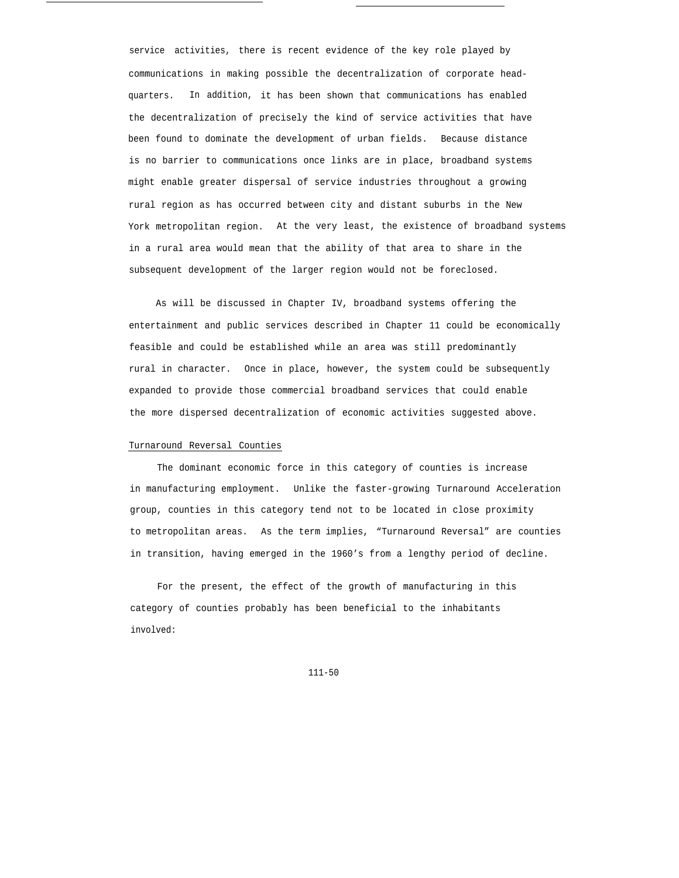service activities, there is recent evidence of the key role played by communications in making possible the decentralization of corporate headquarters. In addition, it has been shown that communications has enabled the decentralization of precisely the kind of service activities that have been found to dominate the development of urban fields. Because distance is no barrier to communications once links are in place, broadband systems might enable greater dispersal of service industries throughout a growing rural region as has occurred between city and distant suburbs in the New York metropolitan region. At the very least, the existence of broadband systems in a rural area would mean that the ability of that area to share in the subsequent development of the larger region would not be foreclosed.

As will be discussed in Chapter IV, broadband systems offering the entertainment and public services described in Chapter 11 could be economically feasible and could be established while an area was still predominantly rural in character. Once in place, however, the system could be subsequently expanded to provide those commercial broadband services that could enable the more dispersed decentralization of economic activities suggested above.

## Turnaround Reversal Counties

The dominant economic force in this category of counties is increase in manufacturing employment. Unlike the faster-growing Turnaround Acceleration group, counties in this category tend not to be located in close proximity to metropolitan areas. As the term implies, "Turnaround Reversal" are counties in transition, having emerged in the 1960's from a lengthy period of decline.

For the present, the effect of the growth of manufacturing in this category of counties probably has been beneficial to the inhabitants involved: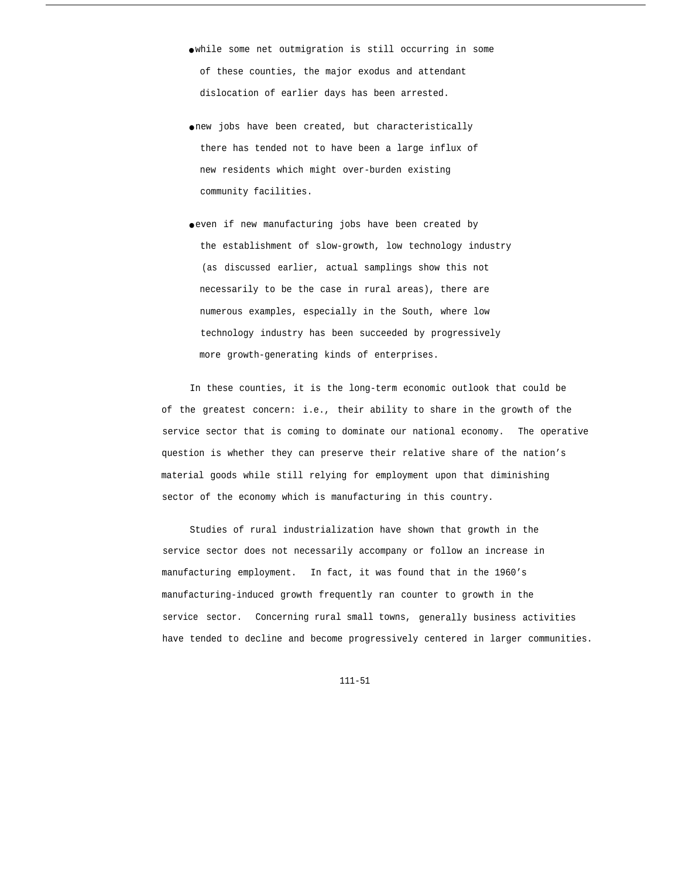● while some net outmigration is still occurring in some of these counties, the major exodus and attendant dislocation of earlier days has been arrested.

- new jobs have been created, but characteristically there has tended not to have been a large influx of new residents which might over-burden existing community facilities.
- even if new manufacturing jobs have been created by the establishment of slow-growth, low technology industry (as discussed earlier, actual samplings show this not necessarily to be the case in rural areas), there are numerous examples, especially in the South, where low technology industry has been succeeded by progressively more growth-generating kinds of enterprises.

In these counties, it is the long-term economic outlook that could be of the greatest concern: i.e., their ability to share in the growth of the service sector that is coming to dominate our national economy. The operative question is whether they can preserve their relative share of the nation's material goods while still relying for employment upon that diminishing sector of the economy which is manufacturing in this country.

Studies of rural industrialization have shown that growth in the service sector does not necessarily accompany or follow an increase in manufacturing employment. In fact, it was found that in the 1960's manufacturing-induced growth frequently ran counter to growth in the service sector. Concerning rural small towns, generally business activities have tended to decline and become progressively centered in larger communities.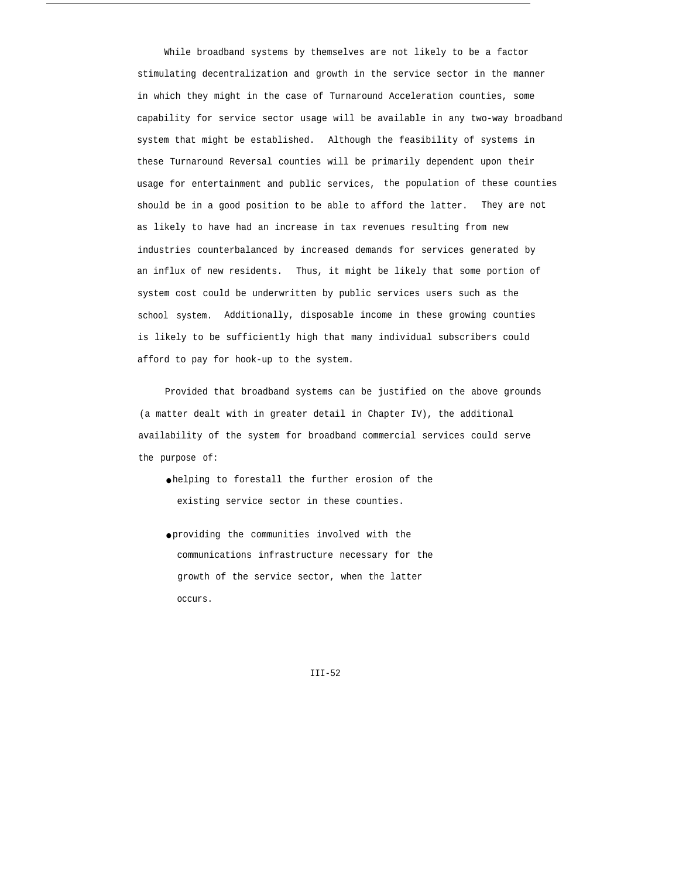While broadband systems by themselves are not likely to be a factor stimulating decentralization and growth in the service sector in the manner in which they might in the case of Turnaround Acceleration counties, some capability for service sector usage will be available in any two-way broadband system that might be established. Although the feasibility of systems in these Turnaround Reversal counties will be primarily dependent upon their usage for entertainment and public services, the population of these counties should be in a good position to be able to afford the latter. They are not as likely to have had an increase in tax revenues resulting from new industries counterbalanced by increased demands for services generated by an influx of new residents. Thus, it might be likely that some portion of system cost could be underwritten by public services users such as the school system. Additionally, disposable income in these growing counties is likely to be sufficiently high that many individual subscribers could afford to pay for hook-up to the system.

Provided that broadband systems can be justified on the above grounds (a matter dealt with in greater detail in Chapter IV), the additional availability of the system for broadband commercial services could serve the purpose of:

- helping to forestall the further erosion of the existing service sector in these counties.
- providing the communities involved with the communications infrastructure necessary for the growth of the service sector, when the latter occurs.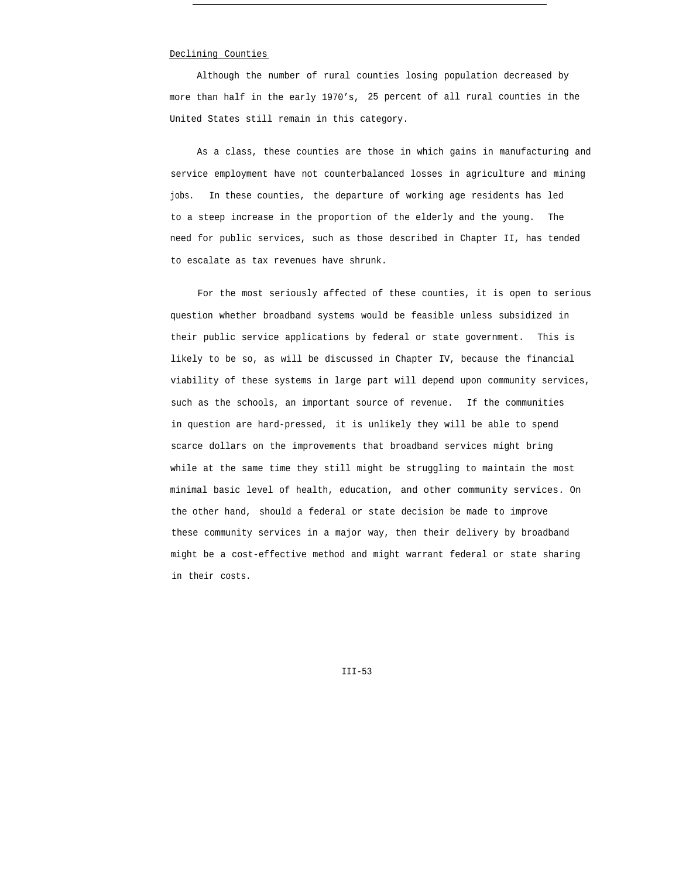## Declining Counties

Although the number of rural counties losing population decreased by more than half in the early 1970's, 25 percent of all rural counties in the United States still remain in this category.

As a class, these counties are those in which gains in manufacturing and service employment have not counterbalanced losses in agriculture and mining jobs. In these counties, the departure of working age residents has led to a steep increase in the proportion of the elderly and the young. The need for public services, such as those described in Chapter II, has tended to escalate as tax revenues have shrunk.

For the most seriously affected of these counties, it is open to serious question whether broadband systems would be feasible unless subsidized in their public service applications by federal or state government. This is likely to be so, as will be discussed in Chapter IV, because the financial viability of these systems in large part will depend upon community services, such as the schools, an important source of revenue. If the communities in question are hard-pressed, it is unlikely they will be able to spend scarce dollars on the improvements that broadband services might bring while at the same time they still might be struggling to maintain the most minimal basic level of health, education, and other community services. On the other hand, should a federal or state decision be made to improve these community services in a major way, then their delivery by broadband might be a cost-effective method and might warrant federal or state sharing in their costs.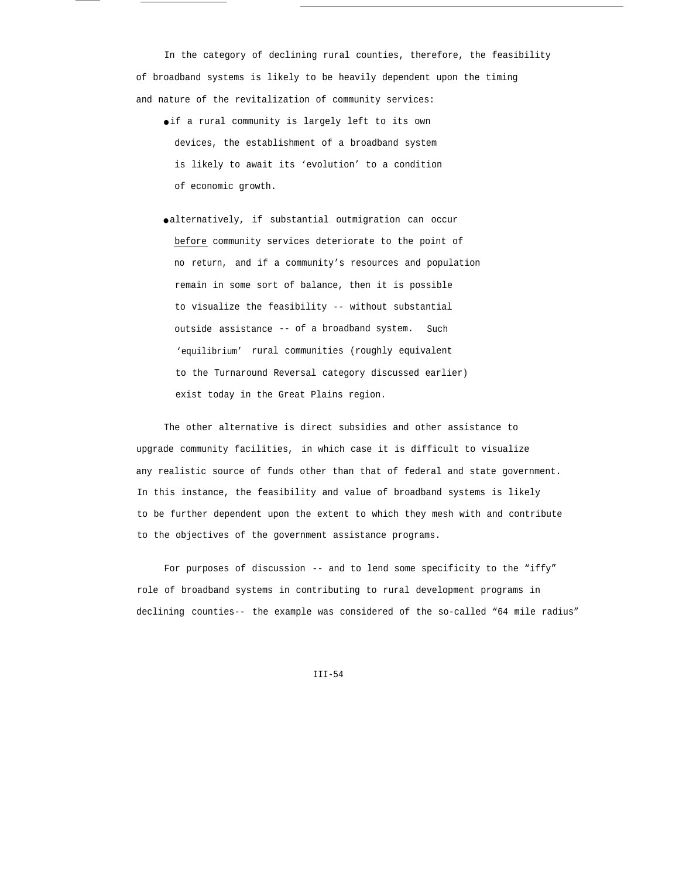In the category of declining rural counties, therefore, the feasibility of broadband systems is likely to be heavily dependent upon the timing and nature of the revitalization of community services:

- if a rural community is largely left to its own devices, the establishment of a broadband system is likely to await its 'evolution' to a condition of economic growth.
- alternatively, if substantial outmigration can occur before community services deteriorate to the point of no return, and if a community's resources and population remain in some sort of balance, then it is possible to visualize the feasibility -- without substantial outside assistance -- of a broadband system. Such 'equilibrium' rural communities (roughly equivalent to the Turnaround Reversal category discussed earlier) exist today in the Great Plains region.

The other alternative is direct subsidies and other assistance to upgrade community facilities, in which case it is difficult to visualize any realistic source of funds other than that of federal and state government. In this instance, the feasibility and value of broadband systems is likely to be further dependent upon the extent to which they mesh with and contribute to the objectives of the government assistance programs.

For purposes of discussion -- and to lend some specificity to the "iffy" role of broadband systems in contributing to rural development programs in declining counties-- the example was considered of the so-called "64 mile radius"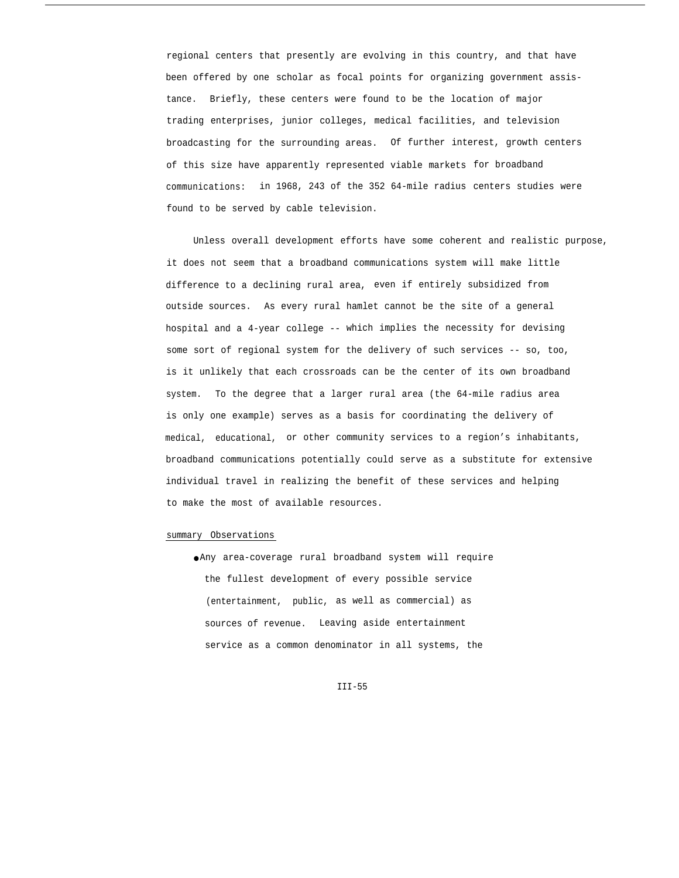regional centers that presently are evolving in this country, and that have been offered by one scholar as focal points for organizing government assistance. Briefly, these centers were found to be the location of major trading enterprises, junior colleges, medical facilities, and television broadcasting for the surrounding areas. Of further interest, growth centers of this size have apparently represented viable markets for broadband communications: in 1968, 243 of the 352 64-mile radius centers studies were found to be served by cable television.

Unless overall development efforts have some coherent and realistic purpose, it does not seem that a broadband communications system will make little difference to a declining rural area, even if entirely subsidized from outside sources. As every rural hamlet cannot be the site of a general hospital and a 4-year college -- which implies the necessity for devising some sort of regional system for the delivery of such services -- so, too, is it unlikely that each crossroads can be the center of its own broadband system. To the degree that a larger rural area (the 64-mile radius area is only one example) serves as a basis for coordinating the delivery of medical, educational, or other community services to a region's inhabitants, broadband communications potentially could serve as a substitute for extensive individual travel in realizing the benefit of these services and helping to make the most of available resources.

#### summary Observations

● Any area-coverage rural broadband system will require the fullest development of every possible service (entertainment, public, as well as commercial) as sources of revenue. Leaving aside entertainment service as a common denominator in all systems, the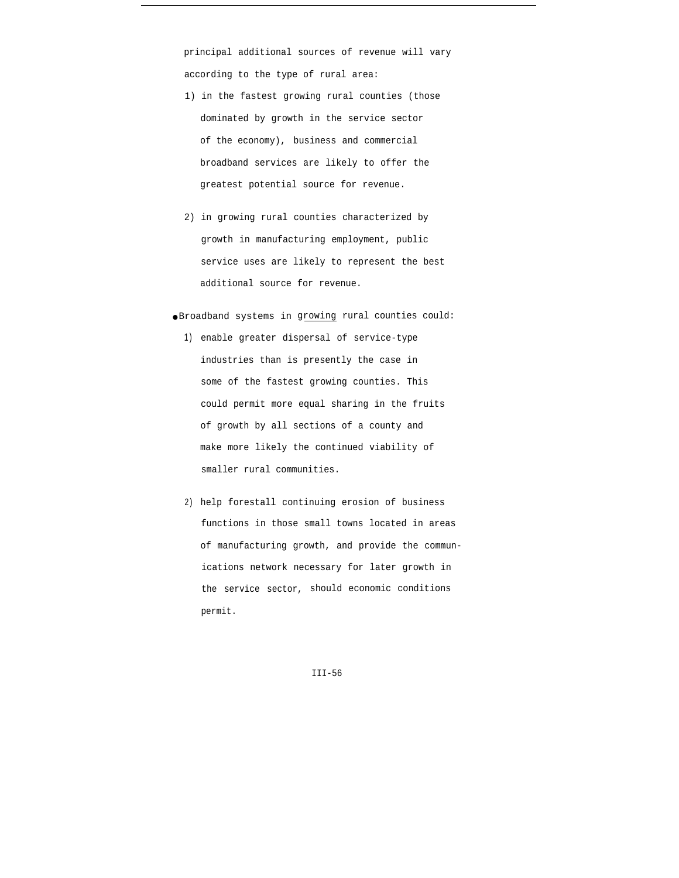principal additional sources of revenue will vary according to the type of rural area:

- 1) in the fastest growing rural counties (those dominated by growth in the service sector of the economy), business and commercial broadband services are likely to offer the greatest potential source for revenue.
- 2) in growing rural counties characterized by growth in manufacturing employment, public service uses are likely to represent the best additional source for revenue.
- Broadband systems in growing rural counties could:
	- 1) enable greater dispersal of service-type industries than is presently the case in some of the fastest growing counties. This could permit more equal sharing in the fruits of growth by all sections of a county and make more likely the continued viability of smaller rural communities.
	- 2) help forestall continuing erosion of business functions in those small towns located in areas of manufacturing growth, and provide the communications network necessary for later growth in the service sector, should economic conditions permit.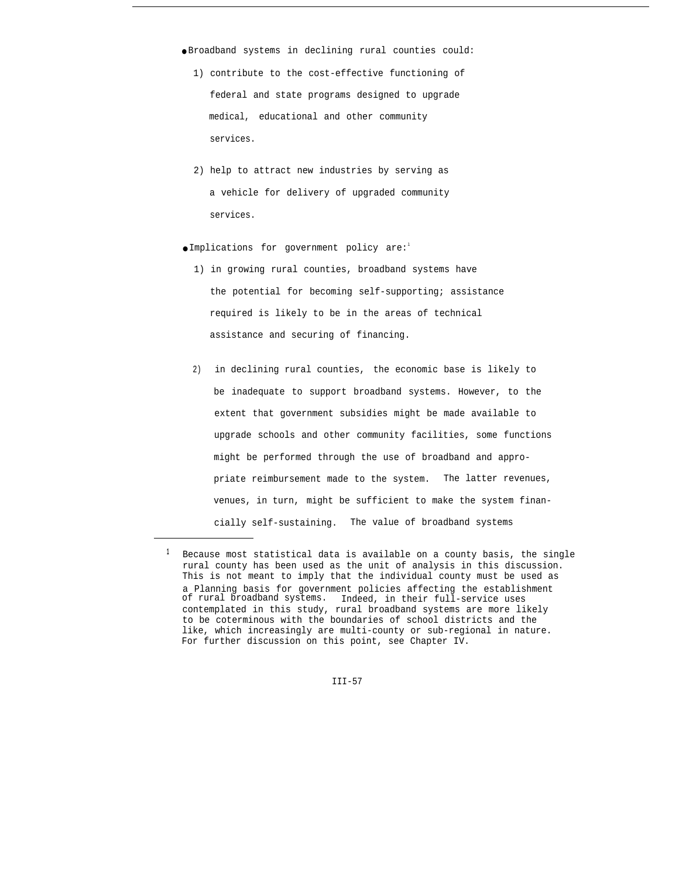● Broadband systems in declining rural counties could:

- 1) contribute to the cost-effective functioning of federal and state programs designed to upgrade medical, educational and other community services.
- 2) help to attract new industries by serving as a vehicle for delivery of upgraded community services.

● Implications for government policy are:1

- 1) in growing rural counties, broadband systems have the potential for becoming self-supporting; assistance required is likely to be in the areas of technical assistance and securing of financing.
- 2) in declining rural counties, the economic base is likely to be inadequate to support broadband systems. However, to the extent that government subsidies might be made available to upgrade schools and other community facilities, some functions might be performed through the use of broadband and appropriate reimbursement made to the system. The latter revenues, venues, in turn, might be sufficient to make the system financially self-sustaining. The value of broadband systems

**<sup>1</sup>** Because most statistical data is available on a county basis, the single rural county has been used as the unit of analysis in this discussion. This is not meant to imply that the individual county must be used as a Planning basis for government policies affecting the establishment of rural broadband systems. Indeed, in their full-service uses contemplated in this study, rural broadband systems are more likely to be coterminous with the boundaries of school districts and the like, which increasingly are multi-county or sub-regional in nature. For further discussion on this point, see Chapter IV.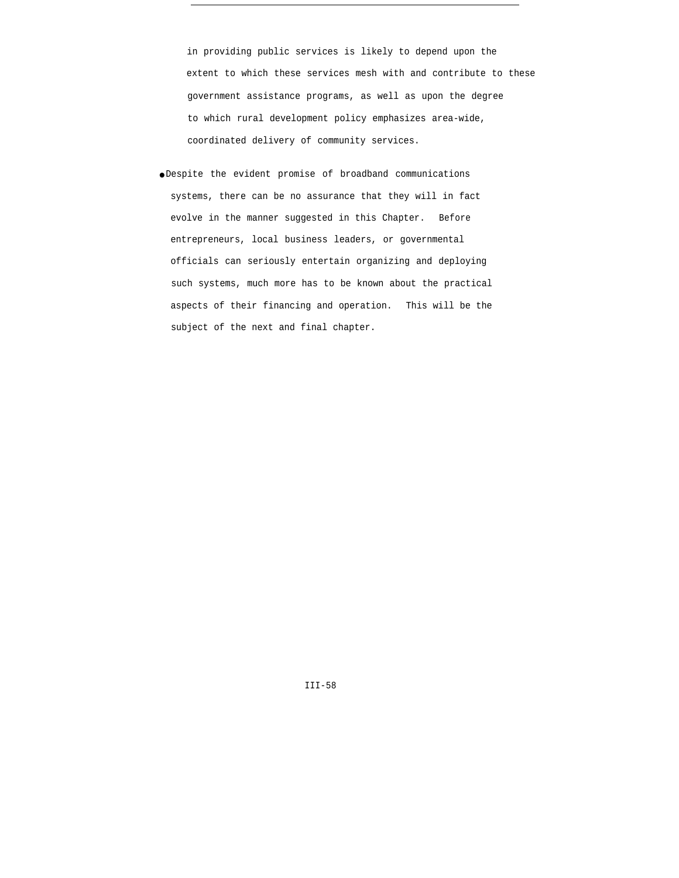in providing public services is likely to depend upon the extent to which these services mesh with and contribute to these government assistance programs, as well as upon the degree to which rural development policy emphasizes area-wide, coordinated delivery of community services.

● Despite the evident promise of broadband communications systems, there can be no assurance that they will in fact evolve in the manner suggested in this Chapter. Before entrepreneurs, local business leaders, or governmental officials can seriously entertain organizing and deploying such systems, much more has to be known about the practical aspects of their financing and operation. This will be the subject of the next and final chapter.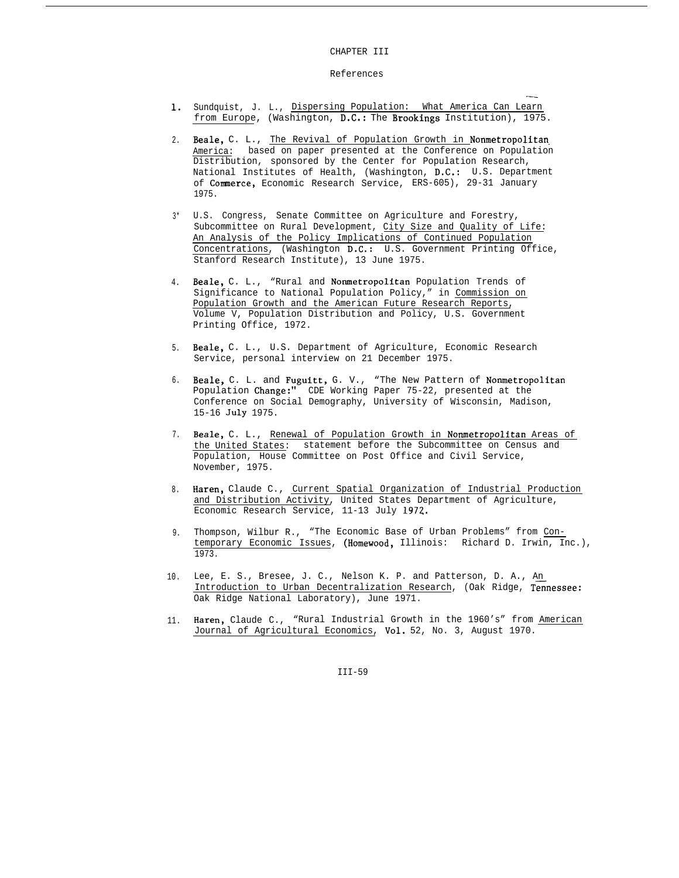#### CHAPTER III

#### References

1. Sundquist, J. L., Dispersing Population: What America Can Learn from Europe, (Washington, D.C.: The Brookings Institution), 1975.

——

- 2. Beale, C. L., The Revival of Population Growth in Nonmetropolitan America: based on paper presented at the Conference on Population Distribution, sponsored by the Center for Population Research, National Institutes of Health, (Washington, D.C.: U.S. Department of Commerce, Economic Research Service, ERS-605), 29-31 January 1975.
- 3\* U.S. Congress, Senate Committee on Agriculture and Forestry, Subcommittee on Rural Development, City Size and Quality of Life: An Analysis of the Policy Implications of Continued Population Concentrations, (Washington D.C.: U.S. Government Printing Office, Stanford Research Institute), 13 June 1975.
- 4. Beale, C. L., "Rural and Nonmetropolitan Population Trends of Significance to National Population Policy," in Commission on Population Growth and the American Future Research Reports, Volume V, Population Distribution and Policy, U.S. Government Printing Office, 1972.
- 5. Beale, C. L., U.S. Department of Agriculture, Economic Research Service, personal interview on 21 December 1975.
- 6. Beale, C. L. and Fuguitt, G. V., "The New Pattern of Nonmetropolitan Population Change:" CDE Working Paper 75-22, presented at the Conference on Social Demography, University of Wisconsin, Madison, 15-16 July 1975.
- 7. Beale, C. L., Renewal of Population Growth in Nonmetropolitan Areas of the United States: statement before the Subcommittee on Census and Population, House Committee on Post Office and Civil Service, November, 1975.
- 8. Haren, Claude C., Current Spatial Organization of Industrial Production and Distribution Activity, United States Department of Agriculture, Economic Research Service, 11-13 July 1972.
- 9. Thompson, Wilbur R., "The Economic Base of Urban Problems" from Contemporary Economic Issues, (Homewood, Illinois: Richard D. Irwin, Inc.), 1973.
- 10. Lee, E. S., Bresee, J. C., Nelson K. P. and Patterson, D. A., An Introduction to Urban Decentralization Research, (Oak Ridge, Tennessee: Oak Ridge National Laboratory), June 1971.
- 11. Haren, Claude C., "Rural Industrial Growth in the 1960's" from American Journal of Agricultural Economics, Vol. 52, No. 3, August 1970.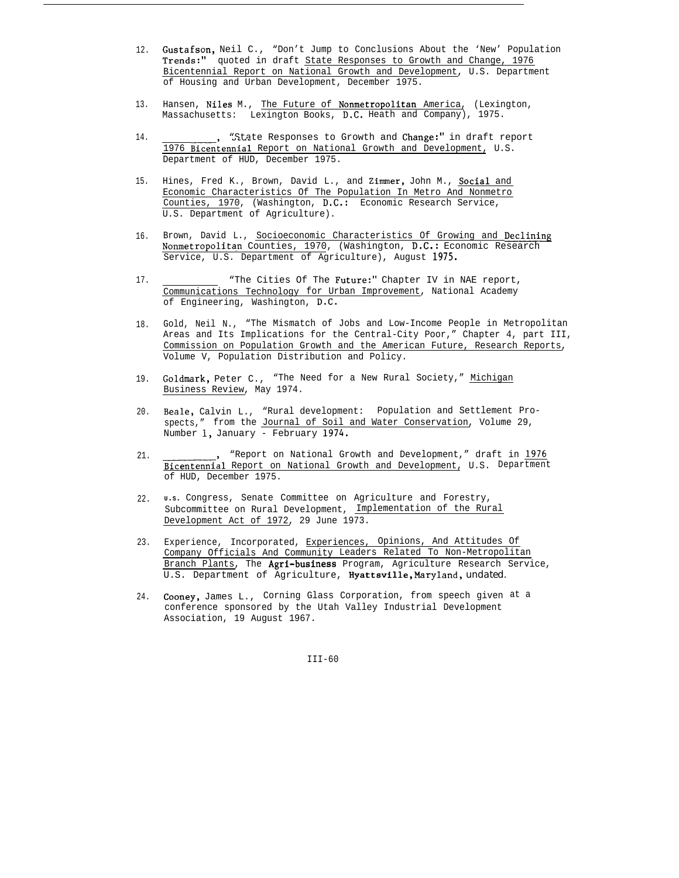- 12. Gustafson, Neil C., "Don't Jump to Conclusions About the 'New' Population Trends:" quoted in draft State Responses to Growth and Change, 1976 Bicentennial Report on National Growth and Development, U.S. Department of Housing and Urban Development, December 1975.
- 13. Hansen, Niles M., The Future of Nonmetropolitan America, (Lexington, Massachusetts: Lexington Books, D.C. Heath and Company), 1975.
- 14. "State Responses to Growth and Change:" in draft report 1976 Bicentennial Report on National Growth and Development, U.S. Department of HUD, December 1975.
- 15. Hines, Fred K., Brown, David L., and Zimmer, John M., Social and Economic Characteristics Of The Population In Metro And Nonmetro Counties, 1970, (Washington, D.C.: Economic Research Service, U.S. Department of Agriculture).
- 16. Brown, David L., Socioeconomic Characteristics Of Growing and Declining Nonmetropolitan Counties, 1970, (Washington, D.C.: Economic Research Service, U.S. Department of Agriculture), August 1975.
- 17. "The Cities Of The Future:" Chapter IV in NAE report, Communications Technology for Urban Improvement, National Academy of Engineering, Washington, D.C.
- 18. Gold, Neil N., "The Mismatch of Jobs and Low-Income People in Metropolitan Areas and Its Implications for the Central-City Poor," Chapter 4, part III, Commission on Population Growth and the American Future, Research Reports, Volume V, Population Distribution and Policy.
- 19. Goldmark, Peter C., "The Need for a New Rural Society," Michigan Business Review, May 1974.
- 20. Beale, Calvin L., "Rural development: Population and Settlement Prospects," from the Journal of Soil and Water Conservation, Volume 29, Number 1, January - February 1974.
- 21. "Report on National Growth and Development," draft in 1976 Bicentennial Report on National Growth and Development, U.S. Department of HUD, December 1975.
- 22. **<sup>U</sup>.S.** Congress, Senate Committee on Agriculture and Forestry, Subcommittee on Rural Development, Implementation of the Rural Development Act of 1972, 29 June 1973.
- 23. Experience, Incorporated, Experiences, Opinions, And Attitudes Of Company Officials And Community Leaders Related To Non-Metropolitan Branch Plants, The Agri-business Program, Agriculture Research Service, U.S. Department of Agriculture, Hyattsville, *Maryland, undated.*
- 24. Cooney, James L., Corning Glass Corporation, from speech given at aconference sponsored by the Utah Valley Industrial Development Association, 19 August 1967.